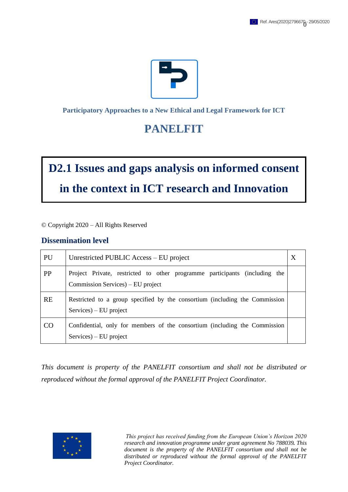

#### **Participatory Approaches to a New Ethical and Legal Framework for ICT**

## **PANELFIT**

# **D2.1 Issues and gaps analysis on informed consent in the context in ICT research and Innovation**

© Copyright 2020 – All Rights Reserved

### **Dissemination level**

| PU        | Unrestricted PUBLIC Access – EU project                                                                         |  |
|-----------|-----------------------------------------------------------------------------------------------------------------|--|
| <b>PP</b> | Project Private, restricted to other programme participants (including the<br>Commission Services) – EU project |  |
| <b>RE</b> | Restricted to a group specified by the consortium (including the Commission<br>$S$ ervices $)$ – EU project     |  |
| CO        | Confidential, only for members of the consortium (including the Commission<br>$S$ ervices $)$ – EU project      |  |

*This document is property of the PANELFIT consortium and shall not be distributed or reproduced without the formal approval of the PANELFIT Project Coordinator.*

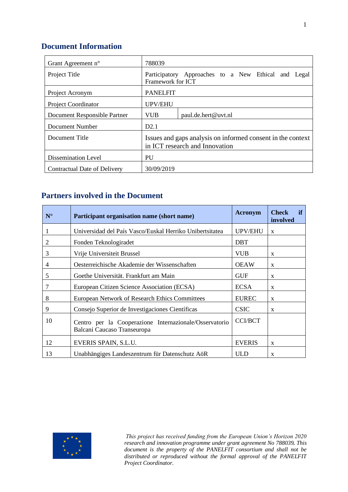## **Document Information**

| Grant Agreement n°           | 788039                                                                                        |                     |  |  |
|------------------------------|-----------------------------------------------------------------------------------------------|---------------------|--|--|
| Project Title                | Participatory Approaches to a New Ethical and Legal<br>Framework for ICT                      |                     |  |  |
| Project Acronym              | <b>PANELFIT</b>                                                                               |                     |  |  |
| <b>Project Coordinator</b>   | UPV/EHU                                                                                       |                     |  |  |
| Document Responsible Partner | <b>VUB</b>                                                                                    | paul.de.hert@uvt.nl |  |  |
| Document Number              | D2.1                                                                                          |                     |  |  |
| Document Title               | Issues and gaps analysis on informed consent in the context<br>in ICT research and Innovation |                     |  |  |
| Dissemination Level          | PU                                                                                            |                     |  |  |
| Contractual Date of Delivery | 30/09/2019                                                                                    |                     |  |  |

## **Partners involved in the Document**

| $N^{\circ}$ | Participant organisation name (short name)                                            | <b>Acronym</b> | <b>Check</b><br>if<br>involved |
|-------------|---------------------------------------------------------------------------------------|----------------|--------------------------------|
|             | Universidad del País Vasco/Euskal Herriko Unibertsitatea                              | <b>UPV/EHU</b> | $\mathbf{x}$                   |
| 2           | Fonden Teknologiradet                                                                 | <b>DBT</b>     |                                |
| 3           | Vrije Universiteit Brussel                                                            | <b>VUB</b>     | X                              |
| 4           | Oesterreichische Akademie der Wissenschaften                                          | <b>OEAW</b>    | $\mathbf{x}$                   |
| 5           | Goethe Universität. Frankfurt am Main                                                 | <b>GUF</b>     | X                              |
| 7           | European Citizen Science Association (ECSA)                                           | <b>ECSA</b>    | $\mathbf{x}$                   |
| 8           | European Network of Research Ethics Committees                                        | <b>EUREC</b>   | X                              |
| 9           | Consejo Superior de Investigaciones Científicas                                       | <b>CSIC</b>    | X                              |
| 10          | Centro per la Cooperazione Internazionale/Osservatorio<br>Balcani Caucaso Transeuropa | <b>CCI/BCT</b> |                                |
| 12          | EVERIS SPAIN, S.L.U.                                                                  | <b>EVERIS</b>  | $\mathbf{x}$                   |
| 13          | Unabhängiges Landeszentrum für Datenschutz AöR                                        | <b>ULD</b>     | $\mathbf{x}$                   |

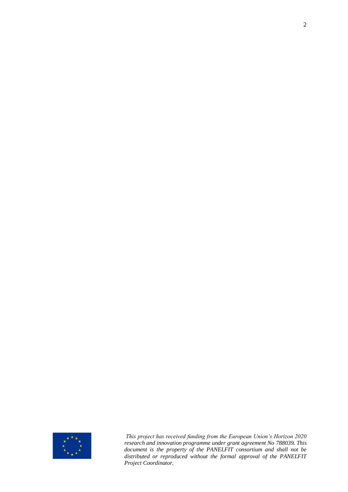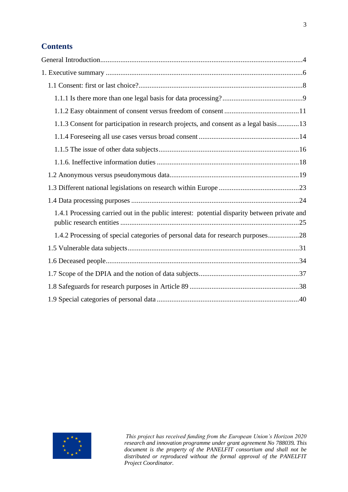## **Contents**

| 1.1.3 Consent for participation in research projects, and consent as a legal basis13         |
|----------------------------------------------------------------------------------------------|
|                                                                                              |
|                                                                                              |
|                                                                                              |
|                                                                                              |
|                                                                                              |
|                                                                                              |
| 1.4.1 Processing carried out in the public interest: potential disparity between private and |
| 1.4.2 Processing of special categories of personal data for research purposes28              |
|                                                                                              |
|                                                                                              |
|                                                                                              |
|                                                                                              |
|                                                                                              |

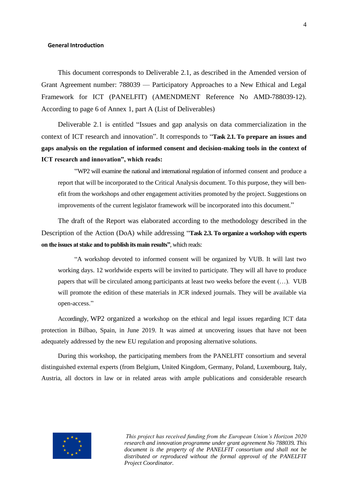#### <span id="page-4-0"></span>**General Introduction**

This document corresponds to Deliverable 2.1, as described in the Amended version of Grant Agreement number: 788039 — Participatory Approaches to a New Ethical and Legal Framework for ICT (PANELFIT) (AMENDMENT Reference No AMD-788039-12). According to page 6 of Annex 1, part A (List of Deliverables)

Deliverable 2.1 is entitled "Issues and gap analysis on data commercialization in the context of ICT research and innovation". It corresponds to "**Task 2.1. To prepare an issues and gaps analysis on the regulation of informed consent and decision-making tools in the context of ICT research and innovation", which reads:** 

"WP2 will examine the national and international regulation of informed consent and produce a report that will be incorporated to the Critical Analysis document. To this purpose, they will benefit from the workshops and other engagement activities promoted by the project. Suggestions on improvements of the current legislator framework will be incorporated into this document."

The draft of the Report was elaborated according to the methodology described in the Description of the Action (DoA) while addressing "**Task 2.3. To organize a workshop with experts on the issues at stake and to publish its main results"***,* which reads:

"A workshop devoted to informed consent will be organized by VUB. It will last two working days. 12 worldwide experts will be invited to participate. They will all have to produce papers that will be circulated among participants at least two weeks before the event (…). VUB will promote the edition of these materials in JCR indexed journals. They will be available via open-access."

Accordingly, WP2 organized a workshop on the ethical and legal issues regarding ICT data protection in Bilbao, Spain, in June 2019. It was aimed at uncovering issues that have not been adequately addressed by the new EU regulation and proposing alternative solutions.

During this workshop, the participating members from the PANELFIT consortium and several distinguished external experts (from Belgium, United Kingdom, Germany, Poland, Luxembourg, Italy, Austria, all doctors in law or in related areas with ample publications and considerable research

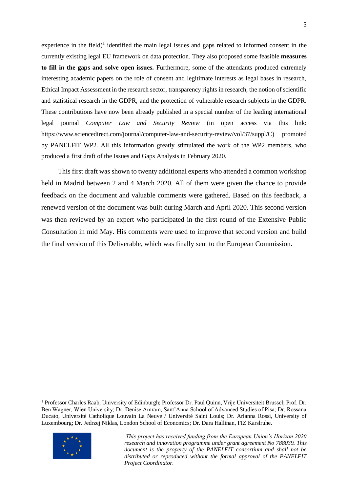experience in the field)<sup>1</sup> identified the main legal issues and gaps related to informed consent in the currently existing legal EU framework on data protection. They also proposed some feasible **measures to fill in the gaps and solve open issues.** Furthermore, some of the attendants produced extremely interesting academic papers on the role of consent and legitimate interests as legal bases in research, Ethical Impact Assessment in the research sector, transparency rights in research, the notion of scientific and statistical research in the GDPR, and the protection of vulnerable research subjects in the GDPR. These contributions have now been already published in a special number of the leading international legal journal *Computer Law and Security Review* (in open access via this link: [https://www.sciencedirect.com/journal/computer-law-and-security-review/vol/37/suppl/C\)](https://www.sciencedirect.com/journal/computer-law-and-security-review/vol/37/suppl/C) promoted by PANELFIT WP2. All this information greatly stimulated the work of the WP2 members, who produced a first draft of the Issues and Gaps Analysis in February 2020.

This first draft was shown to twenty additional experts who attended a common workshop held in Madrid between 2 and 4 March 2020. All of them were given the chance to provide feedback on the document and valuable comments were gathered. Based on this feedback, a renewed version of the document was built during March and April 2020. This second version was then reviewed by an expert who participated in the first round of the Extensive Public Consultation in mid May. His comments were used to improve that second version and build the final version of this Deliverable, which was finally sent to the European Commission.

<sup>1</sup> Professor Charles Raab, University of Edinburgh; Professor Dr. Paul Quinn, Vrije Universiteit Brussel; Prof. Dr. Ben Wagner, Wien University; Dr. Denise Amram, Sant'Anna School of Advanced Studies of Pisa; Dr. Rossana Ducato, Université Catholique Louvain La Neuve / Université Saint Louis; Dr. Arianna Rossi, University of Luxembourg; Dr. Jedrzej Niklas, London School of Economics; Dr. Dara Hallinan, FIZ Karslruhe.



*This project has received funding from the European Union's Horizon 2020 research and innovation programme under grant agreement No 788039. This document is the property of the PANELFIT consortium and shall not be distributed or reproduced without the formal approval of the PANELFIT Project Coordinator.*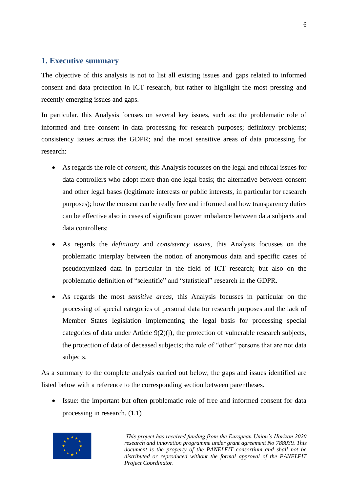#### <span id="page-6-0"></span>**1. Executive summary**

The objective of this analysis is not to list all existing issues and gaps related to informed consent and data protection in ICT research, but rather to highlight the most pressing and recently emerging issues and gaps.

In particular, this Analysis focuses on several key issues, such as: the problematic role of informed and free consent in data processing for research purposes; definitory problems; consistency issues across the GDPR; and the most sensitive areas of data processing for research:

- As regards the role of *consent*, this Analysis focusses on the legal and ethical issues for data controllers who adopt more than one legal basis; the alternative between consent and other legal bases (legitimate interests or public interests, in particular for research purposes); how the consent can be really free and informed and how transparency duties can be effective also in cases of significant power imbalance between data subjects and data controllers;
- As regards the *definitory* and *consistency issues*, this Analysis focusses on the problematic interplay between the notion of anonymous data and specific cases of pseudonymized data in particular in the field of ICT research; but also on the problematic definition of "scientific" and "statistical" research in the GDPR.
- As regards the most *sensitive areas*, this Analysis focusses in particular on the processing of special categories of personal data for research purposes and the lack of Member States legislation implementing the legal basis for processing special categories of data under Article 9(2)(j), the protection of vulnerable research subjects, the protection of data of deceased subjects; the role of "other" persons that are not data subjects.

As a summary to the complete analysis carried out below, the gaps and issues identified are listed below with a reference to the corresponding section between parentheses.

• Issue: the important but often problematic role of free and informed consent for data processing in research. (1.1)

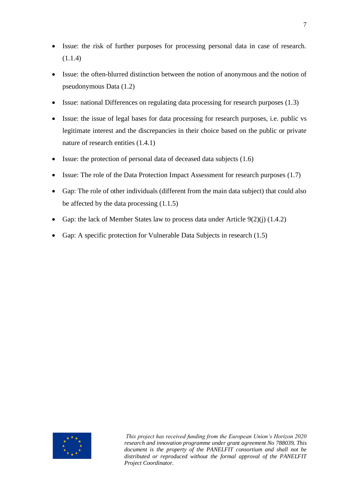- Issue: the risk of further purposes for processing personal data in case of research.  $(1.1.4)$
- Issue: the often-blurred distinction between the notion of anonymous and the notion of pseudonymous Data (1.2)
- Issue: national Differences on regulating data processing for research purposes (1.3)
- Issue: the issue of legal bases for data processing for research purposes, i.e. public vs legitimate interest and the discrepancies in their choice based on the public or private nature of research entities (1.4.1)
- Issue: the protection of personal data of deceased data subjects (1.6)
- Issue: The role of the Data Protection Impact Assessment for research purposes (1.7)
- Gap: The role of other individuals (different from the main data subject) that could also be affected by the data processing (1.1.5)
- Gap: the lack of Member States law to process data under Article 9(2)(j) (1.4.2)
- Gap: A specific protection for Vulnerable Data Subjects in research  $(1.5)$

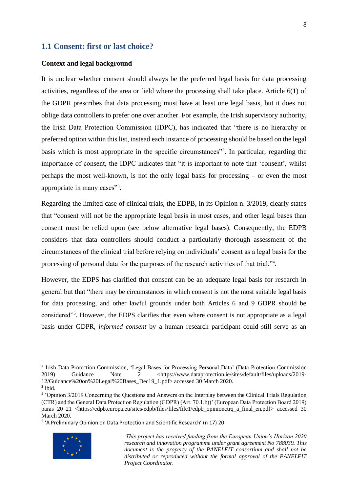#### <span id="page-8-0"></span>**1.1 Consent: first or last choice?**

#### **Context and legal background**

It is unclear whether consent should always be the preferred legal basis for data processing activities, regardless of the area or field where the processing shall take place. Article 6(1) of the GDPR prescribes that data processing must have at least one legal basis, but it does not oblige data controllers to prefer one over another. For example, the Irish supervisory authority, the Irish Data Protection Commission (IDPC), has indicated that "there is no hierarchy or preferred option within this list, instead each instance of processing should be based on the legal basis which is most appropriate in the specific circumstances<sup>"2</sup>. In particular, regarding the importance of consent, the IDPC indicates that "it is important to note that 'consent', whilst perhaps the most well-known, is not the only legal basis for processing – or even the most appropriate in many cases"3.

Regarding the limited case of clinical trials, the EDPB, in its Opinion n. 3/2019, clearly states that "consent will not be the appropriate legal basis in most cases, and other legal bases than consent must be relied upon (see below alternative legal bases). Consequently, the EDPB considers that data controllers should conduct a particularly thorough assessment of the circumstances of the clinical trial before relying on individuals' consent as a legal basis for the processing of personal data for the purposes of the research activities of that trial."<sup>4</sup>.

However, the EDPS has clarified that consent can be an adequate legal basis for research in general but that "there may be circumstances in which consent is not the most suitable legal basis for data processing, and other lawful grounds under both Articles 6 and 9 GDPR should be considered"<sup>5</sup>. However, the EDPS clarifies that even where consent is not appropriate as a legal basis under GDPR, *informed consent* by a human research participant could still serve as an

<sup>&</sup>lt;sup>5</sup> 'A Preliminary Opinion on Data Protection and Scientific Research' (n 17) 20



<sup>&</sup>lt;sup>2</sup> Irish Data Protection Commission, 'Legal Bases for Processing Personal Data' (Data Protection Commission 2019) Guidance Note 2 <https://www.dataprotection.ie/sites/default/files/uploads/2019-12/Guidance%20on%20Legal%20Bases\_Dec19\_1.pdf> accessed 30 March 2020.

<sup>3</sup> ibid.

<sup>4</sup> 'Opinion 3/2019 Concerning the Questions and Answers on the Interplay between the Clinical Trials Regulation (CTR) and the General Data Protection Regulation (GDPR) (Art. 70.1.b))' (European Data Protection Board 2019) paras 20–21 <https://edpb.europa.eu/sites/edpb/files/files/file1/edpb\_opinionctrq\_a\_final\_en.pdf> accessed 30 March 2020.

*This project has received funding from the European Union's Horizon 2020 research and innovation programme under grant agreement No 788039. This document is the property of the PANELFIT consortium and shall not be distributed or reproduced without the formal approval of the PANELFIT Project Coordinator.*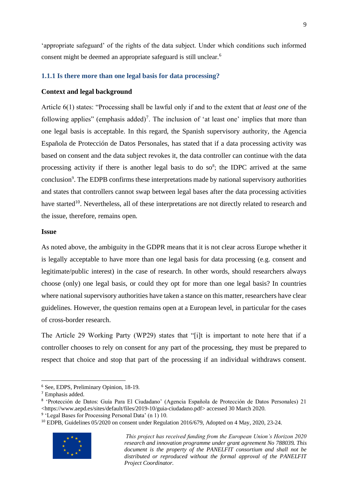'appropriate safeguard' of the rights of the data subject. Under which conditions such informed consent might be deemed an appropriate safeguard is still unclear.<sup>6</sup>

#### <span id="page-9-0"></span>**1.1.1 Is there more than one legal basis for data processing?**

#### **Context and legal background**

Article 6(1) states: "Processing shall be lawful only if and to the extent that *at least one* of the following applies" (emphasis added)<sup>7</sup>. The inclusion of 'at least one' implies that more than one legal basis is acceptable. In this regard, the Spanish supervisory authority, the Agencia Española de Protección de Datos Personales, has stated that if a data processing activity was based on consent and the data subject revokes it, the data controller can continue with the data processing activity if there is another legal basis to do so<sup>8</sup>; the IDPC arrived at the same conclusion<sup>9</sup>. The EDPB confirms these interpretations made by national supervisory authorities and states that controllers cannot swap between legal bases after the data processing activities have started<sup>10</sup>. Nevertheless, all of these interpretations are not directly related to research and the issue, therefore, remains open.

#### <span id="page-9-1"></span>**Issue**

As noted above, the ambiguity in the GDPR means that it is not clear across Europe whether it is legally acceptable to have more than one legal basis for data processing (e.g. consent and legitimate/public interest) in the case of research. In other words, should researchers always choose (only) one legal basis, or could they opt for more than one legal basis? In countries where national supervisory authorities have taken a stance on this matter, researchers have clear guidelines. However, the question remains open at a European level, in particular for the cases of cross-border research.

The Article 29 Working Party (WP29) states that "[i]t is important to note here that if a controller chooses to rely on consent for any part of the processing, they must be prepared to respect that choice and stop that part of the processing if an individual withdraws consent.

<sup>&</sup>lt;sup>10</sup> EDPB, Guidelines 05/2020 on consent under Regulation 2016/679, Adopted on 4 May, 2020, 23-24.



<sup>6</sup> See, EDPS, Preliminary Opinion, 18-19.

<sup>7</sup> Emphasis added.

<sup>8</sup> 'Protección de Datos: Guía Para El Ciudadano' (Agencia Española de Protección de Datos Personales) 21 <https://www.aepd.es/sites/default/files/2019-10/guia-ciudadano.pdf> accessed 30 March 2020.

<sup>&</sup>lt;sup>9</sup> 'Legal Bases for Processing Personal Data' (n 1) 10.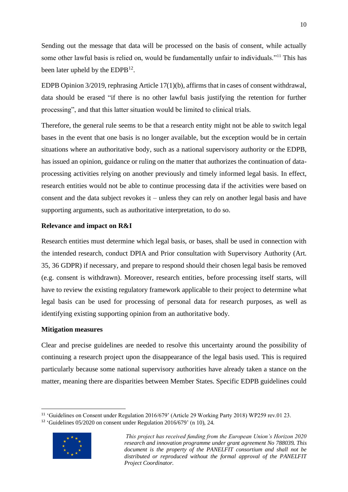Sending out the message that data will be processed on the basis of consent, while actually some other lawful basis is relied on, would be fundamentally unfair to individuals."<sup>11</sup> This has been later upheld by the  $EDPB<sup>12</sup>$ .

EDPB Opinion 3/2019, rephrasing Article 17(1)(b), affirms that in cases of consent withdrawal, data should be erased "if there is no other lawful basis justifying the retention for further processing", and that this latter situation would be limited to clinical trials.

Therefore, the general rule seems to be that a research entity might not be able to switch legal bases in the event that one basis is no longer available, but the exception would be in certain situations where an authoritative body, such as a national supervisory authority or the EDPB, has issued an opinion, guidance or ruling on the matter that authorizes the continuation of dataprocessing activities relying on another previously and timely informed legal basis. In effect, research entities would not be able to continue processing data if the activities were based on consent and the data subject revokes it – unless they can rely on another legal basis and have supporting arguments, such as authoritative interpretation, to do so.

#### **Relevance and impact on R&I**

Research entities must determine which legal basis, or bases, shall be used in connection with the intended research, conduct DPIA and Prior consultation with Supervisory Authority (Art. 35, 36 GDPR) if necessary, and prepare to respond should their chosen legal basis be removed (e.g. consent is withdrawn). Moreover, research entities, before processing itself starts, will have to review the existing regulatory framework applicable to their project to determine what legal basis can be used for processing of personal data for research purposes, as well as identifying existing supporting opinion from an authoritative body.

#### **Mitigation measures**

Clear and precise guidelines are needed to resolve this uncertainty around the possibility of continuing a research project upon the disappearance of the legal basis used. This is required particularly because some national supervisory authorities have already taken a stance on the matter, meaning there are disparities between Member States. Specific EDPB guidelines could

 $12$  'Guidelines 05/2020 on consent under Regulation 2016/679' (n [10\)](#page-9-1), 24.



<sup>11</sup> 'Guidelines on Consent under Regulation 2016/679' (Article 29 Working Party 2018) WP259 rev.01 23.

*This project has received funding from the European Union's Horizon 2020 research and innovation programme under grant agreement No 788039. This document is the property of the PANELFIT consortium and shall not be distributed or reproduced without the formal approval of the PANELFIT Project Coordinator.*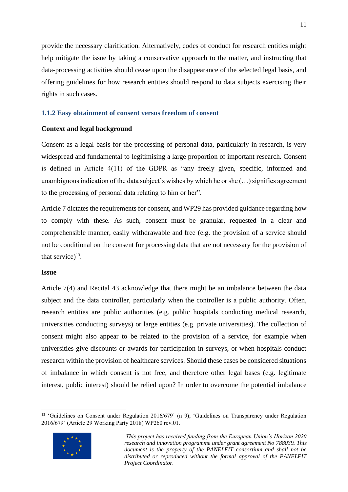provide the necessary clarification. Alternatively, codes of conduct for research entities might help mitigate the issue by taking a conservative approach to the matter, and instructing that data-processing activities should cease upon the disappearance of the selected legal basis, and offering guidelines for how research entities should respond to data subjects exercising their rights in such cases.

#### <span id="page-11-0"></span>**1.1.2 Easy obtainment of consent versus freedom of consent**

#### **Context and legal background**

Consent as a legal basis for the processing of personal data, particularly in research, is very widespread and fundamental to legitimising a large proportion of important research. Consent is defined in Article 4(11) of the GDPR as "any freely given, specific, informed and unambiguous indication of the data subject's wishes by which he or she (…) signifies agreement to the processing of personal data relating to him or her".

Article 7 dictates the requirements for consent, and WP29 has provided guidance regarding how to comply with these. As such, consent must be granular, requested in a clear and comprehensible manner, easily withdrawable and free (e.g. the provision of a service should not be conditional on the consent for processing data that are not necessary for the provision of that service) $^{13}$ .

#### **Issue**

Article 7(4) and Recital 43 acknowledge that there might be an imbalance between the data subject and the data controller, particularly when the controller is a public authority. Often, research entities are public authorities (e.g. public hospitals conducting medical research, universities conducting surveys) or large entities (e.g. private universities). The collection of consent might also appear to be related to the provision of a service, for example when universities give discounts or awards for participation in surveys, or when hospitals conduct research within the provision of healthcare services. Should these cases be considered situations of imbalance in which consent is not free, and therefore other legal bases (e.g. legitimate interest, public interest) should be relied upon? In order to overcome the potential imbalance

<sup>13</sup> 'Guidelines on Consent under Regulation 2016/679' (n 9); 'Guidelines on Transparency under Regulation 2016/679' (Article 29 Working Party 2018) WP260 rev.01.



*This project has received funding from the European Union's Horizon 2020 research and innovation programme under grant agreement No 788039. This document is the property of the PANELFIT consortium and shall not be distributed or reproduced without the formal approval of the PANELFIT Project Coordinator.*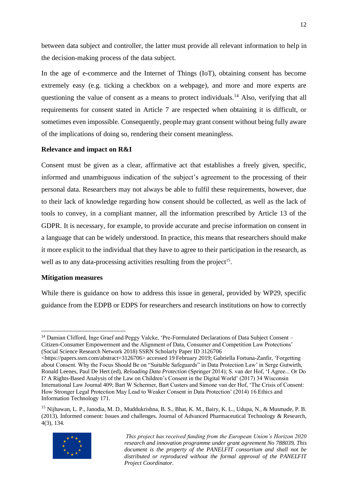between data subject and controller, the latter must provide all relevant information to help in the decision-making process of the data subject.

In the age of e-commerce and the Internet of Things (IoT), obtaining consent has become extremely easy (e.g. ticking a checkbox on a webpage), and more and more experts are questioning the value of consent as a means to protect individuals.<sup>14</sup> Also, verifying that all requirements for consent stated in Article 7 are respected when obtaining it is difficult, or sometimes even impossible. Consequently, people may grant consent without being fully aware of the implications of doing so, rendering their consent meaningless.

#### **Relevance and impact on R&I**

Consent must be given as a clear, affirmative act that establishes a freely given, specific, informed and unambiguous indication of the subject's agreement to the processing of their personal data. Researchers may not always be able to fulfil these requirements, however, due to their lack of knowledge regarding how consent should be collected, as well as the lack of tools to convey, in a compliant manner, all the information prescribed by Article 13 of the GDPR. It is necessary, for example, to provide accurate and precise information on consent in a language that can be widely understood. In practice, this means that researchers should make it more explicit to the individual that they have to agree to their participation in the research, as well as to any data-processing activities resulting from the project<sup>15</sup>.

#### **Mitigation measures**

While there is guidance on how to address this issue in general, provided by WP29, specific guidance from the EDPB or EDPS for researchers and research institutions on how to correctly

<sup>&</sup>lt;sup>15</sup> Nijhawan, L. P., Janodia, M. D., Muddukrishna, B. S., Bhat, K. M., Bairy, K. L., Udupa, N., & Musmade, P. B. (2013). Informed consent: Issues and challenges. Journal of Advanced Pharmaceutical Technology & Research, 4(3), 134.



<sup>&</sup>lt;sup>14</sup> Damian Clifford, Inge Graef and Peggy Valcke, 'Pre-Formulated Declarations of Data Subject Consent – Citizen-Consumer Empowerment and the Alignment of Data, Consumer and Competition Law Protections' (Social Science Research Network 2018) SSRN Scholarly Paper ID 3126706

<sup>&</sup>lt;https://papers.ssrn.com/abstract=3126706> accessed 19 February 2019; Gabriella Fortuna-Zanfir, 'Forgetting about Consent. Why the Focus Should Be on "Suitable Safeguards" in Data Protection Law' in Serge Gutwirth, Ronald Leenes, Paul De Hert (ed), *Reloading Data Protection* (Springer 2014); S. van der Hof, 'I Agree... Or Do I? A Rights-Based Analysis of the Law on Children's Consent in the Digital World' (2017) 34 Wisconsin International Law Journal 409; Bart W Schermer, Bart Custers and Simone van der Hof, 'The Crisis of Consent: How Stronger Legal Protection May Lead to Weaker Consent in Data Protection' (2014) 16 Ethics and Information Technology 171.

*This project has received funding from the European Union's Horizon 2020 research and innovation programme under grant agreement No 788039. This document is the property of the PANELFIT consortium and shall not be distributed or reproduced without the formal approval of the PANELFIT Project Coordinator.*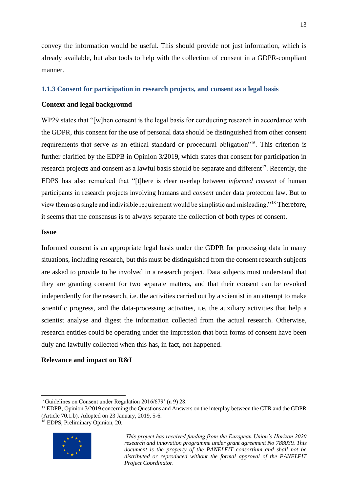convey the information would be useful. This should provide not just information, which is already available, but also tools to help with the collection of consent in a GDPR-compliant manner.

#### <span id="page-13-0"></span>**1.1.3 Consent for participation in research projects, and consent as a legal basis**

#### **Context and legal background**

WP29 states that "[w]hen consent is the legal basis for conducting research in accordance with the GDPR, this consent for the use of personal data should be distinguished from other consent requirements that serve as an ethical standard or procedural obligation"<sup>16</sup>. This criterion is further clarified by the EDPB in Opinion 3/2019, which states that consent for participation in research projects and consent as a lawful basis should be separate and different<sup>17</sup>. Recently, the EDPS has also remarked that "[t]here is clear overlap between *informed consent* of human participants in research projects involving humans and *consent* under data protection law. But to view them as a single and indivisible requirement would be simplistic and misleading."<sup>18</sup> Therefore, it seems that the consensus is to always separate the collection of both types of consent.

#### **Issue**

Informed consent is an appropriate legal basis under the GDPR for processing data in many situations, including research, but this must be distinguished from the consent research subjects are asked to provide to be involved in a research project. Data subjects must understand that they are granting consent for two separate matters, and that their consent can be revoked independently for the research, i.e. the activities carried out by a scientist in an attempt to make scientific progress, and the data-processing activities, i.e. the auxiliary activities that help a scientist analyse and digest the information collected from the actual research. Otherwise, research entities could be operating under the impression that both forms of consent have been duly and lawfully collected when this has, in fact, not happened.

#### **Relevance and impact on R&I**

<sup>18</sup> EDPS, Preliminary Opinion, 20.



<sup>&#</sup>x27;Guidelines on Consent under Regulation 2016/679' (n 9) 28.

<sup>&</sup>lt;sup>17</sup> EDPB, Opinion 3/2019 concerning the Questions and Answers on the interplay between the CTR and the GDPR (Article 70.1.b), Adopted on 23 January, 2019, 5-6.

*This project has received funding from the European Union's Horizon 2020 research and innovation programme under grant agreement No 788039. This document is the property of the PANELFIT consortium and shall not be distributed or reproduced without the formal approval of the PANELFIT Project Coordinator.*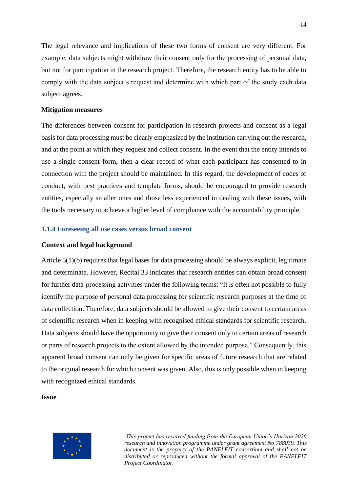The legal relevance and implications of these two forms of consent are very different. For example, data subjects might withdraw their consent only for the processing of personal data, but not for participation in the research project. Therefore, the research entity has to be able to comply with the data subject's request and determine with which part of the study each data subject agrees.

#### **Mitigation measures**

The differences between consent for participation in research projects and consent as a legal basis for data processing must be clearly emphasized by the institution carrying out the research, and at the point at which they request and collect consent. In the event that the entity intends to use a single consent form, then a clear record of what each participant has consented to in connection with the project should be maintained. In this regard, the development of codes of conduct, with best practices and template forms, should be encouraged to provide research entities, especially smaller ones and those less experienced in dealing with these issues, with the tools necessary to achieve a higher level of compliance with the accountability principle.

#### <span id="page-14-0"></span>**1.1.4 Foreseeing all use cases versus broad consent**

#### **Context and legal background**

Article 5(1)(b) requires that legal bases for data processing should be always explicit, legitimate and determinate. However, Recital 33 indicates that research entities can obtain broad consent for further data-processing activities under the following terms: "It is often not possible to fully identify the purpose of personal data processing for scientific research purposes at the time of data collection. Therefore, data subjects should be allowed to give their consent to certain areas of scientific research when in keeping with recognised ethical standards for scientific research. Data subjects should have the opportunity to give their consent only to certain areas of research or parts of research projects to the extent allowed by the intended purpose." Consequently, this apparent broad consent can only be given for specific areas of future research that are related to the original research for which consent was given. Also, this is only possible when in keeping with recognized ethical standards.

#### **Issue**

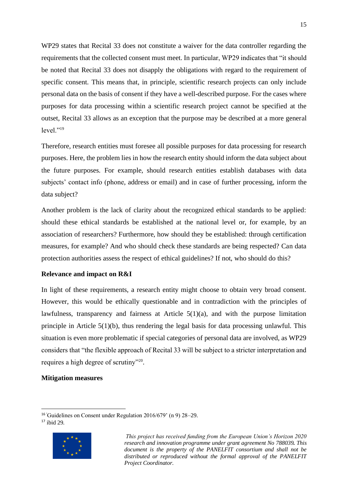WP29 states that Recital 33 does not constitute a waiver for the data controller regarding the requirements that the collected consent must meet. In particular, WP29 indicates that "it should be noted that Recital 33 does not disapply the obligations with regard to the requirement of specific consent. This means that, in principle, scientific research projects can only include personal data on the basis of consent if they have a well-described purpose. For the cases where purposes for data processing within a scientific research project cannot be specified at the outset, Recital 33 allows as an exception that the purpose may be described at a more general  $level.$ <sup>"19</sup>

Therefore, research entities must foresee all possible purposes for data processing for research purposes. Here, the problem lies in how the research entity should inform the data subject about the future purposes. For example, should research entities establish databases with data subjects' contact info (phone, address or email) and in case of further processing, inform the data subject?

Another problem is the lack of clarity about the recognized ethical standards to be applied: should these ethical standards be established at the national level or, for example, by an association of researchers? Furthermore, how should they be established: through certification measures, for example? And who should check these standards are being respected? Can data protection authorities assess the respect of ethical guidelines? If not, who should do this?

#### **Relevance and impact on R&I**

In light of these requirements, a research entity might choose to obtain very broad consent. However, this would be ethically questionable and in contradiction with the principles of lawfulness, transparency and fairness at Article 5(1)(a), and with the purpose limitation principle in Article 5(1)(b), thus rendering the legal basis for data processing unlawful. This situation is even more problematic if special categories of personal data are involved, as WP29 considers that "the flexible approach of Recital 33 will be subject to a stricter interpretation and requires a high degree of scrutiny"<sup>20</sup>.

#### **Mitigation measures**

<sup>17</sup> ibid 29.



<sup>16</sup>'Guidelines on Consent under Regulation 2016/679' (n 9) 28–29.

*This project has received funding from the European Union's Horizon 2020 research and innovation programme under grant agreement No 788039. This document is the property of the PANELFIT consortium and shall not be distributed or reproduced without the formal approval of the PANELFIT Project Coordinator.*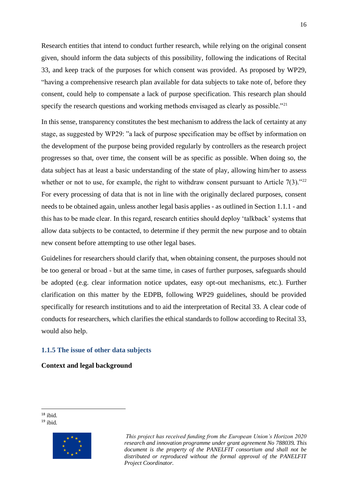Research entities that intend to conduct further research, while relying on the original consent given, should inform the data subjects of this possibility, following the indications of Recital 33, and keep track of the purposes for which consent was provided. As proposed by WP29, "having a comprehensive research plan available for data subjects to take note of, before they consent, could help to compensate a lack of purpose specification. This research plan should specify the research questions and working methods envisaged as clearly as possible."<sup>21</sup>

In this sense, transparency constitutes the best mechanism to address the lack of certainty at any stage, as suggested by WP29: "a lack of purpose specification may be offset by information on the development of the purpose being provided regularly by controllers as the research project progresses so that, over time, the consent will be as specific as possible. When doing so, the data subject has at least a basic understanding of the state of play, allowing him/her to assess whether or not to use, for example, the right to withdraw consent pursuant to Article  $7(3)$ ."<sup>22</sup> For every processing of data that is not in line with the originally declared purposes, consent needs to be obtained again, unless another legal basis applies - as outlined in Section 1.1.1 - and this has to be made clear. In this regard, research entities should deploy 'talkback' systems that allow data subjects to be contacted, to determine if they permit the new purpose and to obtain new consent before attempting to use other legal bases.

Guidelines for researchers should clarify that, when obtaining consent, the purposes should not be too general or broad - but at the same time, in cases of further purposes, safeguards should be adopted (e.g. clear information notice updates, easy opt-out mechanisms, etc.). Further clarification on this matter by the EDPB, following WP29 guidelines, should be provided specifically for research institutions and to aid the interpretation of Recital 33. A clear code of conducts for researchers, which clarifies the ethical standards to follow according to Recital 33, would also help.

#### <span id="page-16-0"></span>**1.1.5 The issue of other data subjects**

#### **Context and legal background**

<sup>18</sup> ibid.  $19$  ibid.

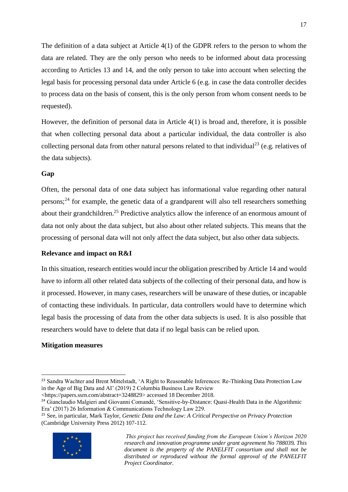The definition of a data subject at Article 4(1) of the GDPR refers to the person to whom the data are related. They are the only person who needs to be informed about data processing according to Articles 13 and 14, and the only person to take into account when selecting the legal basis for processing personal data under Article 6 (e.g. in case the data controller decides to process data on the basis of consent, this is the only person from whom consent needs to be requested).

However, the definition of personal data in Article 4(1) is broad and, therefore, it is possible that when collecting personal data about a particular individual, the data controller is also collecting personal data from other natural persons related to that individual<sup>23</sup> (e.g. relatives of the data subjects).

#### **Gap**

Often, the personal data of one data subject has informational value regarding other natural persons;<sup>24</sup> for example, the genetic data of a grandparent will also tell researchers something about their grandchildren.<sup>25</sup> Predictive analytics allow the inference of an enormous amount of data not only about the data subject, but also about other related subjects. This means that the processing of personal data will not only affect the data subject, but also other data subjects.

#### **Relevance and impact on R&I**

In this situation, research entities would incur the obligation prescribed by Article 14 and would have to inform all other related data subjects of the collecting of their personal data, and how is it processed. However, in many cases, researchers will be unaware of these duties, or incapable of contacting these individuals. In particular, data controllers would have to determine which legal basis the processing of data from the other data subjects is used. It is also possible that researchers would have to delete that data if no legal basis can be relied upon.

#### **Mitigation measures**

<https://papers.ssrn.com/abstract=3248829> accessed 18 December 2018.

<sup>25</sup> See, in particular, Mark Taylor, *Genetic Data and the Law: A Critical Perspective on Privacy Protection* (Cambridge University Press 2012) 107-112.



<sup>&</sup>lt;sup>23</sup> Sandra Wachter and Brent Mittelstadt, 'A Right to Reasonable Inferences: Re-Thinking Data Protection Law in the Age of Big Data and AI' (2019) 2 Columbia Business Law Review

<sup>&</sup>lt;sup>24</sup> Gianclaudio Malgieri and Giovanni Comandé, 'Sensitive-by-Distance: Quasi-Health Data in the Algorithmic Era' (2017) 26 Information & Communications Technology Law 229.

*This project has received funding from the European Union's Horizon 2020 research and innovation programme under grant agreement No 788039. This document is the property of the PANELFIT consortium and shall not be distributed or reproduced without the formal approval of the PANELFIT Project Coordinator.*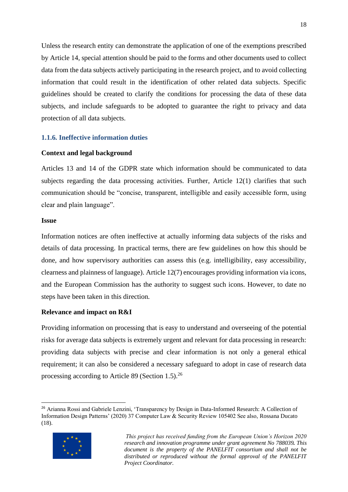Unless the research entity can demonstrate the application of one of the exemptions prescribed by Article 14, special attention should be paid to the forms and other documents used to collect data from the data subjects actively participating in the research project, and to avoid collecting information that could result in the identification of other related data subjects. Specific guidelines should be created to clarify the conditions for processing the data of these data subjects, and include safeguards to be adopted to guarantee the right to privacy and data protection of all data subjects.

#### <span id="page-18-0"></span>**1.1.6. Ineffective information duties**

#### **Context and legal background**

Articles 13 and 14 of the GDPR state which information should be communicated to data subjects regarding the data processing activities. Further, Article 12(1) clarifies that such communication should be "concise, transparent, intelligible and easily accessible form, using clear and plain language".

#### **Issue**

Information notices are often ineffective at actually informing data subjects of the risks and details of data processing. In practical terms, there are few guidelines on how this should be done, and how supervisory authorities can assess this (e.g. intelligibility, easy accessibility, clearness and plainness of language). Article 12(7) encourages providing information via icons, and the European Commission has the authority to suggest such icons. However, to date no steps have been taken in this direction.

#### **Relevance and impact on R&I**

Providing information on processing that is easy to understand and overseeing of the potential risks for average data subjects is extremely urgent and relevant for data processing in research: providing data subjects with precise and clear information is not only a general ethical requirement; it can also be considered a necessary safeguard to adopt in case of research data processing according to Article 89 (Section 1.5).<sup>26</sup>

<sup>&</sup>lt;sup>26</sup> Arianna Rossi and Gabriele Lenzini, 'Transparency by Design in Data-Informed Research: A Collection of Information Design Patterns' (2020) 37 Computer Law & Security Review 105402 See also, Rossana Ducato (18).



*This project has received funding from the European Union's Horizon 2020 research and innovation programme under grant agreement No 788039. This document is the property of the PANELFIT consortium and shall not be distributed or reproduced without the formal approval of the PANELFIT Project Coordinator.*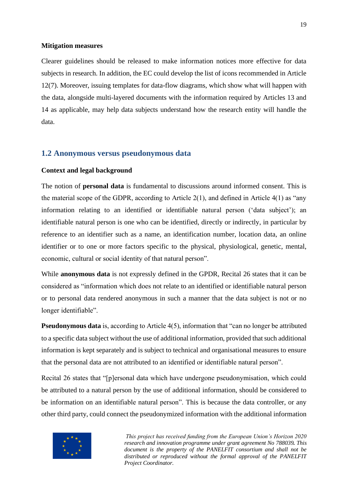#### **Mitigation measures**

Clearer guidelines should be released to make information notices more effective for data subjects in research. In addition, the EC could develop the list of icons recommended in Article 12(7). Moreover, issuing templates for data-flow diagrams, which show what will happen with the data, alongside multi-layered documents with the information required by Articles 13 and 14 as applicable, may help data subjects understand how the research entity will handle the data.

#### <span id="page-19-0"></span>**1.2 Anonymous versus pseudonymous data**

#### **Context and legal background**

The notion of **personal data** is fundamental to discussions around informed consent. This is the material scope of the GDPR, according to Article 2(1), and defined in Article 4(1) as "any information relating to an identified or identifiable natural person ('data subject'); an identifiable natural person is one who can be identified, directly or indirectly, in particular by reference to an identifier such as a name, an identification number, location data, an online identifier or to one or more factors specific to the physical, physiological, genetic, mental, economic, cultural or social identity of that natural person".

While **anonymous data** is not expressly defined in the GPDR, Recital 26 states that it can be considered as "information which does not relate to an identified or identifiable natural person or to personal data rendered anonymous in such a manner that the data subject is not or no longer identifiable".

**Pseudonymous data** is, according to Article 4(5), information that "can no longer be attributed to a specific data subject without the use of additional information, provided that such additional information is kept separately and is subject to technical and organisational measures to ensure that the personal data are not attributed to an identified or identifiable natural person".

Recital 26 states that "[p]ersonal data which have undergone pseudonymisation, which could be attributed to a natural person by the use of additional information, should be considered to be information on an identifiable natural person". This is because the data controller, or any other third party, could connect the pseudonymized information with the additional information

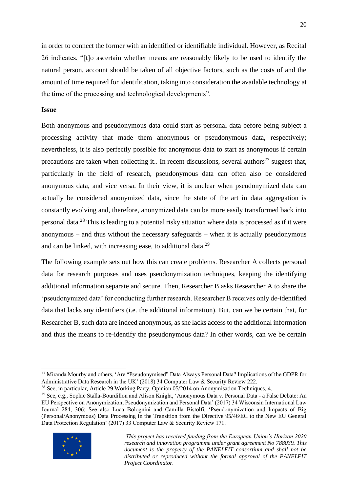in order to connect the former with an identified or identifiable individual. However, as Recital 26 indicates, "[t]o ascertain whether means are reasonably likely to be used to identify the natural person, account should be taken of all objective factors, such as the costs of and the amount of time required for identification, taking into consideration the available technology at the time of the processing and technological developments".

#### **Issue**

Both anonymous and pseudonymous data could start as personal data before being subject a processing activity that made them anonymous or pseudonymous data, respectively; nevertheless, it is also perfectly possible for anonymous data to start as anonymous if certain precautions are taken when collecting it.. In recent discussions, several authors<sup>27</sup> suggest that, particularly in the field of research, pseudonymous data can often also be considered anonymous data, and vice versa. In their view, it is unclear when pseudonymized data can actually be considered anonymized data, since the state of the art in data aggregation is constantly evolving and, therefore, anonymized data can be more easily transformed back into personal data.<sup>28</sup> This is leading to a potential risky situation where data is processed as if it were anonymous – and thus without the necessary safeguards – when it is actually pseudonymous and can be linked, with increasing ease, to additional data.<sup>29</sup>

The following example sets out how this can create problems. Researcher A collects personal data for research purposes and uses pseudonymization techniques, keeping the identifying additional information separate and secure. Then, Researcher B asks Researcher A to share the 'pseudonymized data' for conducting further research. Researcher B receives only de-identified data that lacks any identifiers (i.e. the additional information). But, can we be certain that, for Researcher B, such data are indeed anonymous, as she lacks access to the additional information and thus the means to re-identify the pseudonymous data? In other words, can we be certain

<sup>29</sup> See, e.g., Sophie Stalla-Bourdillon and Alison Knight, 'Anonymous Data v. Personal Data - a False Debate: An EU Perspective on Anonymization, Pseudonymization and Personal Data' (2017) 34 Wisconsin International Law Journal 284, 306; See also Luca Bolognini and Camilla Bistolfi, 'Pseudonymization and Impacts of Big (Personal/Anonymous) Data Processing in the Transition from the Directive 95/46/EC to the New EU General Data Protection Regulation' (2017) 33 Computer Law & Security Review 171.



<sup>&</sup>lt;sup>27</sup> Miranda Mourby and others, 'Are "Pseudonymised" Data Always Personal Data? Implications of the GDPR for Administrative Data Research in the UK' (2018) 34 Computer Law & Security Review 222.

<sup>28</sup> See, in particular, Article 29 Working Party, Opinion 05/2014 on Anonymisation Techniques, 4.

*This project has received funding from the European Union's Horizon 2020 research and innovation programme under grant agreement No 788039. This document is the property of the PANELFIT consortium and shall not be distributed or reproduced without the formal approval of the PANELFIT Project Coordinator.*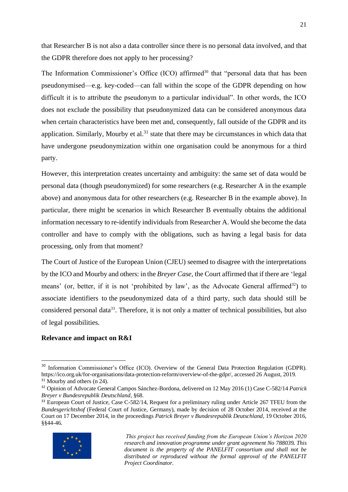that Researcher B is not also a data controller since there is no personal data involved, and that the GDPR therefore does not apply to her processing?

The Information Commissioner's Office (ICO) affirmed<sup>30</sup> that "personal data that has been pseudonymised—e.g. key-coded—can fall within the scope of the GDPR depending on how difficult it is to attribute the pseudonym to a particular individual". In other words, the ICO does not exclude the possibility that pseudonymized data can be considered anonymous data when certain characteristics have been met and, consequently, fall outside of the GDPR and its application. Similarly, Mourby et al.<sup>31</sup> state that there may be circumstances in which data that have undergone pseudonymization within one organisation could be anonymous for a third party.

However, this interpretation creates uncertainty and ambiguity: the same set of data would be personal data (though pseudonymized) for some researchers (e.g. Researcher A in the example above) and anonymous data for other researchers (e.g. Researcher B in the example above). In particular, there might be scenarios in which Researcher B eventually obtains the additional information necessary to re-identify individuals from Researcher A. Would she become the data controller and have to comply with the obligations, such as having a legal basis for data processing, only from that moment?

The Court of Justice of the European Union (CJEU) seemed to disagree with the interpretations by the ICO and Mourby and others: in the *Breyer Case,* the Court affirmed that if there are 'legal means' (or, better, if it is not 'prohibited by law', as the Advocate General affirmed<sup>32</sup>) to associate identifiers to the pseudonymized data of a third party, such data should still be considered personal data<sup>33</sup>. Therefore, it is not only a matter of technical possibilities, but also of legal possibilities.

#### **Relevance and impact on R&I**

<sup>&</sup>lt;sup>33</sup> European Court of Justice, Case C-582/14, Request for a preliminary ruling under Article 267 TFEU from the *Bundesgerichtshof* (Federal Court of Justice, Germany), made by decision of 28 October 2014, received at the Court on 17 December 2014, in the proceedings *Patrick Breyer v Bundesrepublik Deutschland*, 19 October 2016, §§44-46.



<sup>&</sup>lt;sup>30</sup> Information Commissioner's Office (ICO). Overview of the General Data Protection Regulation (GDPR). [https://ico.org.uk/for-organisations/data-protection-reform/overview-of-the-gdpr/,](about:blank) accessed 26 August, 2019. <sup>31</sup> Mourby and others (n 24).

<sup>32</sup> Opinion of Advocate General Campos Sánchez-Bordona, delivered on 12 May 2016 (1) Case C-582/14 *Patrick Breyer v Bundesrepublik Deutschland*, §68.

*This project has received funding from the European Union's Horizon 2020 research and innovation programme under grant agreement No 788039. This document is the property of the PANELFIT consortium and shall not be distributed or reproduced without the formal approval of the PANELFIT Project Coordinator.*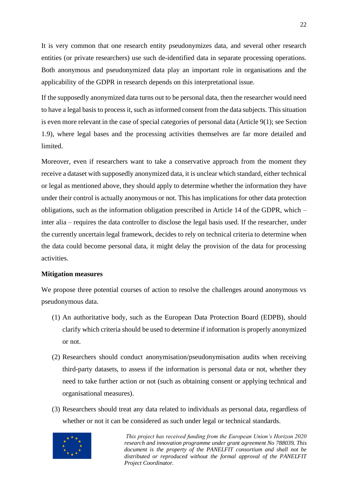It is very common that one research entity pseudonymizes data, and several other research entities (or private researchers) use such de-identified data in separate processing operations. Both anonymous and pseudonymized data play an important role in organisations and the applicability of the GDPR in research depends on this interpretational issue.

If the supposedly anonymized data turns out to be personal data, then the researcher would need to have a legal basis to process it, such as informed consent from the data subjects. This situation is even more relevant in the case of special categories of personal data (Article 9(1); see Section 1.9), where legal bases and the processing activities themselves are far more detailed and limited.

Moreover, even if researchers want to take a conservative approach from the moment they receive a dataset with supposedly anonymized data, it is unclear which standard, either technical or legal as mentioned above, they should apply to determine whether the information they have under their control is actually anonymous or not. This has implications for other data protection obligations, such as the information obligation prescribed in Article 14 of the GDPR, which – inter alia – requires the data controller to disclose the legal basis used. If the researcher, under the currently uncertain legal framework, decides to rely on technical criteria to determine when the data could become personal data, it might delay the provision of the data for processing activities.

#### **Mitigation measures**

We propose three potential courses of action to resolve the challenges around anonymous vs pseudonymous data.

- (1) An authoritative body, such as the European Data Protection Board (EDPB), should clarify which criteria should be used to determine if information is properly anonymized or not.
- (2) Researchers should conduct anonymisation/pseudonymisation audits when receiving third-party datasets, to assess if the information is personal data or not, whether they need to take further action or not (such as obtaining consent or applying technical and organisational measures).
- (3) Researchers should treat any data related to individuals as personal data, regardless of whether or not it can be considered as such under legal or technical standards.

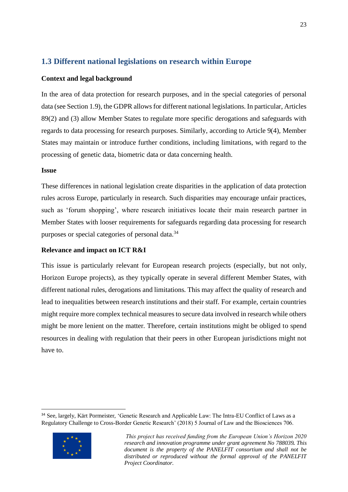## <span id="page-23-0"></span>**1.3 Different national legislations on research within Europe**

#### **Context and legal background**

In the area of data protection for research purposes, and in the special categories of personal data (see Section 1.9), the GDPR allows for different national legislations. In particular, Articles 89(2) and (3) allow Member States to regulate more specific derogations and safeguards with regards to data processing for research purposes. Similarly, according to Article 9(4), Member States may maintain or introduce further conditions, including limitations, with regard to the processing of genetic data, biometric data or data concerning health.

#### **Issue**

These differences in national legislation create disparities in the application of data protection rules across Europe, particularly in research. Such disparities may encourage unfair practices, such as 'forum shopping', where research initiatives locate their main research partner in Member States with looser requirements for safeguards regarding data processing for research purposes or special categories of personal data.<sup>34</sup>

#### **Relevance and impact on ICT R&I**

This issue is particularly relevant for European research projects (especially, but not only, Horizon Europe projects), as they typically operate in several different Member States, with different national rules, derogations and limitations. This may affect the quality of research and lead to inequalities between research institutions and their staff. For example, certain countries might require more complex technical measures to secure data involved in research while others might be more lenient on the matter. Therefore, certain institutions might be obliged to spend resources in dealing with regulation that their peers in other European jurisdictions might not have to.

<sup>34</sup> See, largely, Kärt Pormeister, 'Genetic Research and Applicable Law: The Intra-EU Conflict of Laws as a Regulatory Challenge to Cross-Border Genetic Research' (2018) 5 Journal of Law and the Biosciences 706.



*This project has received funding from the European Union's Horizon 2020 research and innovation programme under grant agreement No 788039. This document is the property of the PANELFIT consortium and shall not be distributed or reproduced without the formal approval of the PANELFIT Project Coordinator.*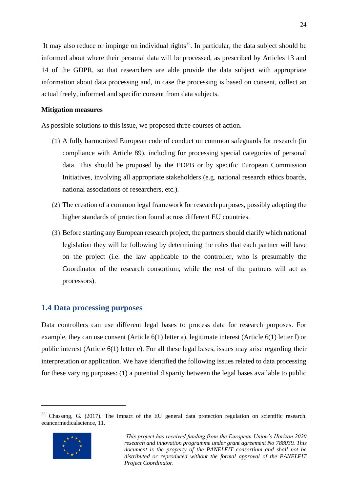It may also reduce or impinge on individual rights<sup>35</sup>. In particular, the data subject should be informed about where their personal data will be processed, as prescribed by Articles 13 and 14 of the GDPR, so that researchers are able provide the data subject with appropriate information about data processing and, in case the processing is based on consent, collect an actual freely, informed and specific consent from data subjects.

#### **Mitigation measures**

As possible solutions to this issue, we proposed three courses of action.

- (1) A fully harmonized European code of conduct on common safeguards for research (in compliance with Article 89), including for processing special categories of personal data. This should be proposed by the EDPB or by specific European Commission Initiatives, involving all appropriate stakeholders (e.g. national research ethics boards, national associations of researchers, etc.).
- (2) The creation of a common legal framework for research purposes, possibly adopting the higher standards of protection found across different EU countries.
- (3) Before starting any European research project, the partners should clarify which national legislation they will be following by determining the roles that each partner will have on the project (i.e. the law applicable to the controller, who is presumably the Coordinator of the research consortium, while the rest of the partners will act as processors).

#### <span id="page-24-0"></span>**1.4 Data processing purposes**

Data controllers can use different legal bases to process data for research purposes. For example, they can use consent (Article 6(1) letter a), legitimate interest (Article 6(1) letter f) or public interest (Article 6(1) letter e). For all these legal bases, issues may arise regarding their interpretation or application. We have identified the following issues related to data processing for these varying purposes: (1) a potential disparity between the legal bases available to public

<sup>&</sup>lt;sup>35</sup> Chassang, G. (2017). The impact of the EU general data protection regulation on scientific research. ecancermedicalscience, 11.



*This project has received funding from the European Union's Horizon 2020 research and innovation programme under grant agreement No 788039. This document is the property of the PANELFIT consortium and shall not be distributed or reproduced without the formal approval of the PANELFIT Project Coordinator.*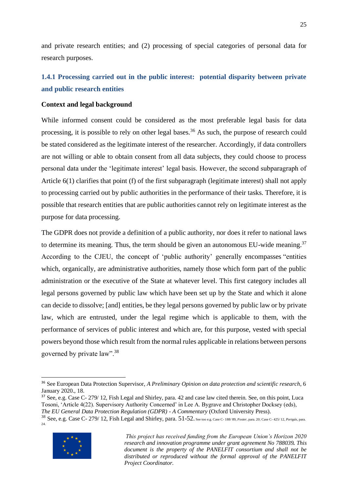and private research entities; and (2) processing of special categories of personal data for research purposes.

## <span id="page-25-0"></span>**1.4.1 Processing carried out in the public interest: potential disparity between private and public research entities**

#### **Context and legal background**

While informed consent could be considered as the most preferable legal basis for data processing, it is possible to rely on other legal bases.<sup>36</sup> As such, the purpose of research could be stated considered as the legitimate interest of the researcher. Accordingly, if data controllers are not willing or able to obtain consent from all data subjects, they could choose to process personal data under the 'legitimate interest' legal basis. However, the second subparagraph of Article 6(1) clarifies that point (f) of the first subparagraph (legitimate interest) shall not apply to processing carried out by public authorities in the performance of their tasks. Therefore, it is possible that research entities that are public authorities cannot rely on legitimate interest as the purpose for data processing.

The GDPR does not provide a definition of a public authority, nor does it refer to national laws to determine its meaning. Thus, the term should be given an autonomous EU-wide meaning.<sup>37</sup> According to the CJEU, the concept of 'public authority' generally encompasses "entities which, organically, are administrative authorities, namely those which form part of the public administration or the executive of the State at whatever level. This first category includes all legal persons governed by public law which have been set up by the State and which it alone can decide to dissolve; [and] entities, be they legal persons governed by public law or by private law, which are entrusted, under the legal regime which is applicable to them, with the performance of services of public interest and which are, for this purpose, vested with special powers beyond those which result from the normal rules applicable in relations between persons governed by private law".<sup>38</sup>

<sup>38</sup> See, e.g. Case C- 279/ 12, Fish Legal and Shirley, para. 51-52. See too e.g. Case C- 188/ 89, *Foster*, para. 20; Case C- 425/ 12, *Portgás*, para. 24.



<sup>36</sup> See European Data Protection Supervisor, *A Preliminary Opinion on data protection and scientific research*, 6 January 2020., 18.

<sup>&</sup>lt;sup>37</sup> See, e.g. Case C- 279/ 12, Fish Legal and Shirley, para. 42 and case law cited therein. See, on this point, Luca Tosoni, 'Article 4(22). Supervisory Authority Concerned' in Lee A. Bygrave and Christopher Docksey (eds), *The EU General Data Protection Regulation (GDPR) - A Commentary* (Oxford University Press).

*This project has received funding from the European Union's Horizon 2020 research and innovation programme under grant agreement No 788039. This document is the property of the PANELFIT consortium and shall not be distributed or reproduced without the formal approval of the PANELFIT Project Coordinator.*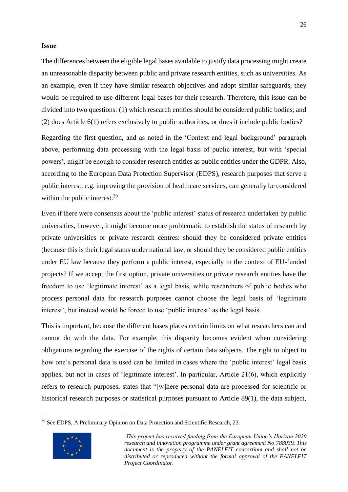#### **Issue**

The differences between the eligible legal bases available to justify data processing might create an unreasonable disparity between public and private research entities, such as universities. As an example, even if they have similar research objectives and adopt similar safeguards, they would be required to use different legal bases for their research. Therefore, this issue can be divided into two questions: (1) which research entities should be considered public bodies; and (2) does Article 6(1) refers exclusively to public authorities, or does it include public bodies?

Regarding the first question, and as noted in the 'Context and legal background' paragraph above, performing data processing with the legal basis of public interest, but with 'special powers', might be enough to consider research entities as public entities under the GDPR. Also, according to the European Data Protection Supervisor (EDPS), research purposes that serve a public interest, e.g. improving the provision of healthcare services, can generally be considered within the public interest.<sup>39</sup>

Even if there were consensus about the 'public interest' status of research undertaken by public universities, however, it might become more problematic to establish the status of research by private universities or private research centres: should they be considered private entities (because this is their legal status under national law, or should they be considered public entities under EU law because they perform a public interest, especially in the context of EU-funded projects? If we accept the first option, private universities or private research entities have the freedom to use 'legitimate interest' as a legal basis, while researchers of public bodies who process personal data for research purposes cannot choose the legal basis of 'legitimate interest', but instead would be forced to use 'public interest' as the legal basis.

This is important, because the different bases places certain limits on what researchers can and cannot do with the data. For example, this disparity becomes evident when considering obligations regarding the exercise of the rights of certain data subjects. The right to object to how one's personal data is used can be limited in cases where the 'public interest' legal basis applies, but not in cases of 'legitimate interest'. In particular, Article 21(6), which explicitly refers to research purposes, states that "[w]here personal data are processed for scientific or historical research purposes or statistical purposes pursuant to Article 89(1), the data subject,

<sup>&</sup>lt;sup>39</sup> See EDPS, A Preliminary Opinion on Data Protection and Scientific Research, 23.



*This project has received funding from the European Union's Horizon 2020 research and innovation programme under grant agreement No 788039. This document is the property of the PANELFIT consortium and shall not be distributed or reproduced without the formal approval of the PANELFIT Project Coordinator.*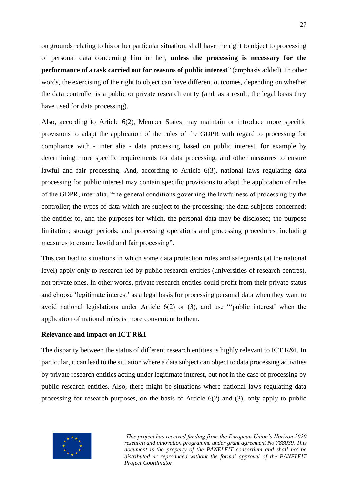on grounds relating to his or her particular situation, shall have the right to object to processing of personal data concerning him or her, **unless the processing is necessary for the performance of a task carried out for reasons of public interest**" (emphasis added). In other words, the exercising of the right to object can have different outcomes, depending on whether the data controller is a public or private research entity (and, as a result, the legal basis they have used for data processing).

Also, according to Article 6(2), Member States may maintain or introduce more specific provisions to adapt the application of the rules of the GDPR with regard to processing for compliance with - inter alia - data processing based on public interest, for example by determining more specific requirements for data processing, and other measures to ensure lawful and fair processing. And, according to Article 6(3), national laws regulating data processing for public interest may contain specific provisions to adapt the application of rules of the GDPR, inter alia, "the general conditions governing the lawfulness of processing by the controller; the types of data which are subject to the processing; the data subjects concerned; the entities to, and the purposes for which, the personal data may be disclosed; the purpose limitation; storage periods; and processing operations and processing procedures, including measures to ensure lawful and fair processing".

This can lead to situations in which some data protection rules and safeguards (at the national level) apply only to research led by public research entities (universities of research centres), not private ones. In other words, private research entities could profit from their private status and choose 'legitimate interest' as a legal basis for processing personal data when they want to avoid national legislations under Article 6(2) or (3), and use "'public interest' when the application of national rules is more convenient to them.

#### **Relevance and impact on ICT R&I**

The disparity between the status of different research entities is highly relevant to ICT R&I. In particular, it can lead to the situation where a data subject can object to data processing activities by private research entities acting under legitimate interest, but not in the case of processing by public research entities. Also, there might be situations where national laws regulating data processing for research purposes, on the basis of Article 6(2) and (3), only apply to public

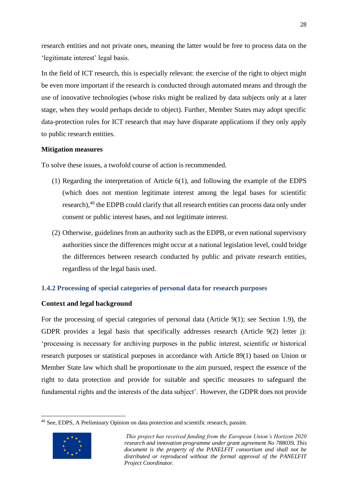research entities and not private ones, meaning the latter would be free to process data on the 'legitimate interest' legal basis.

In the field of ICT research, this is especially relevant: the exercise of the right to object might be even more important if the research is conducted through automated means and through the use of innovative technologies (whose risks might be realized by data subjects only at a later stage, when they would perhaps decide to object). Further, Member States may adopt specific data-protection rules for ICT research that may have disparate applications if they only apply to public research entities.

#### **Mitigation measures**

To solve these issues, a twofold course of action is recommended.

- (1) Regarding the interpretation of Article 6(1), and following the example of the EDPS (which does not mention legitimate interest among the legal bases for scientific research),<sup>40</sup> the EDPB could clarify that all research entities can process data only under consent or public interest bases, and not legitimate interest.
- (2) Otherwise, guidelines from an authority such as the EDPB, or even national supervisory authorities since the differences might occur at a national legislation level, could bridge the differences between research conducted by public and private research entities, regardless of the legal basis used.

#### <span id="page-28-0"></span>**1.4.2 Processing of special categories of personal data for research purposes**

#### **Context and legal background**

For the processing of special categories of personal data (Article 9(1); see Section 1.9), the GDPR provides a legal basis that specifically addresses research (Article 9(2) letter j): 'processing is necessary for archiving purposes in the public interest, scientific or historical research purposes or statistical purposes in accordance with Article 89(1) based on Union or Member State law which shall be proportionate to the aim pursued, respect the essence of the right to data protection and provide for suitable and specific measures to safeguard the fundamental rights and the interests of the data subject'. However, the GDPR does not provide

<sup>40</sup> See, EDPS, A Preliminary Opinion on data protection and scientific research, passim.



*This project has received funding from the European Union's Horizon 2020 research and innovation programme under grant agreement No 788039. This document is the property of the PANELFIT consortium and shall not be distributed or reproduced without the formal approval of the PANELFIT Project Coordinator.*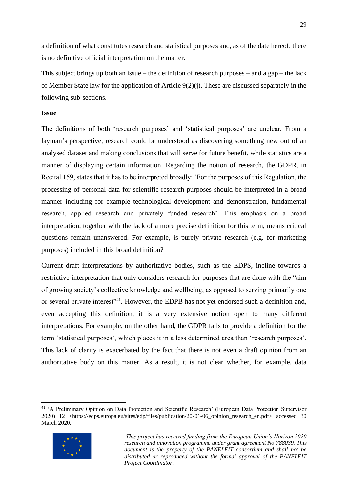a definition of what constitutes research and statistical purposes and, as of the date hereof, there is no definitive official interpretation on the matter.

This subject brings up both an issue – the definition of research purposes – and a gap – the lack of Member State law for the application of Article 9(2)(j). These are discussed separately in the following sub-sections.

#### **Issue**

The definitions of both 'research purposes' and 'statistical purposes' are unclear. From a layman's perspective, research could be understood as discovering something new out of an analysed dataset and making conclusions that will serve for future benefit, while statistics are a manner of displaying certain information. Regarding the notion of research, the GDPR, in Recital 159, states that it has to be interpreted broadly: 'For the purposes of this Regulation, the processing of personal data for scientific research purposes should be interpreted in a broad manner including for example technological development and demonstration, fundamental research, applied research and privately funded research'. This emphasis on a broad interpretation, together with the lack of a more precise definition for this term, means critical questions remain unanswered. For example, is purely private research (e.g. for marketing purposes) included in this broad definition?

Current draft interpretations by authoritative bodies, such as the EDPS, incline towards a restrictive interpretation that only considers research for purposes that are done with the "aim of growing society's collective knowledge and wellbeing, as opposed to serving primarily one or several private interest"<sup>41</sup>. However, the EDPB has not yet endorsed such a definition and, even accepting this definition, it is a very extensive notion open to many different interpretations. For example, on the other hand, the GDPR fails to provide a definition for the term 'statistical purposes', which places it in a less determined area than 'research purposes'. This lack of clarity is exacerbated by the fact that there is not even a draft opinion from an authoritative body on this matter. As a result, it is not clear whether, for example, data

<sup>41</sup> 'A Preliminary Opinion on Data Protection and Scientific Research' (European Data Protection Supervisor 2020) 12 <https://edps.europa.eu/sites/edp/files/publication/20-01-06\_opinion\_research\_en.pdf> accessed 30 March 2020.



*This project has received funding from the European Union's Horizon 2020 research and innovation programme under grant agreement No 788039. This document is the property of the PANELFIT consortium and shall not be distributed or reproduced without the formal approval of the PANELFIT Project Coordinator.*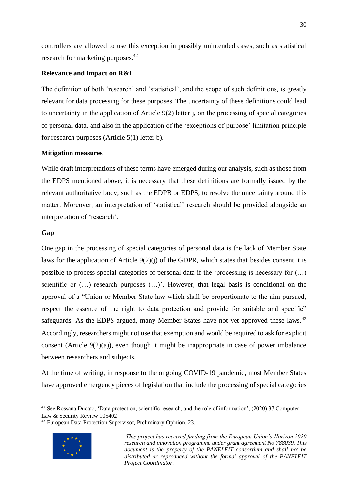controllers are allowed to use this exception in possibly unintended cases, such as statistical research for marketing purposes.<sup>42</sup>

#### **Relevance and impact on R&I**

The definition of both 'research' and 'statistical', and the scope of such definitions, is greatly relevant for data processing for these purposes. The uncertainty of these definitions could lead to uncertainty in the application of Article 9(2) letter j, on the processing of special categories of personal data, and also in the application of the 'exceptions of purpose' limitation principle for research purposes (Article 5(1) letter b).

#### **Mitigation measures**

While draft interpretations of these terms have emerged during our analysis, such as those from the EDPS mentioned above, it is necessary that these definitions are formally issued by the relevant authoritative body, such as the EDPB or EDPS, to resolve the uncertainty around this matter. Moreover, an interpretation of 'statistical' research should be provided alongside an interpretation of 'research'.

#### **Gap**

One gap in the processing of special categories of personal data is the lack of Member State laws for the application of Article 9(2)(j) of the GDPR, which states that besides consent it is possible to process special categories of personal data if the 'processing is necessary for (…) scientific or (…) research purposes (…)'. However, that legal basis is conditional on the approval of a "Union or Member State law which shall be proportionate to the aim pursued, respect the essence of the right to data protection and provide for suitable and specific" safeguards. As the EDPS argued, many Member States have not yet approved these laws.<sup>43</sup> Accordingly, researchers might not use that exemption and would be required to ask for explicit consent (Article 9(2)(a)), even though it might be inappropriate in case of power imbalance between researchers and subjects.

At the time of writing, in response to the ongoing COVID-19 pandemic, most Member States have approved emergency pieces of legislation that include the processing of special categories

<sup>43</sup> European Data Protection Supervisor, Preliminary Opinion, 23.



<sup>42</sup> See Rossana Ducato, 'Data protection, scientific research, and the role of information', (2020) 37 Computer Law & Security Review 105402

*This project has received funding from the European Union's Horizon 2020 research and innovation programme under grant agreement No 788039. This document is the property of the PANELFIT consortium and shall not be distributed or reproduced without the formal approval of the PANELFIT Project Coordinator.*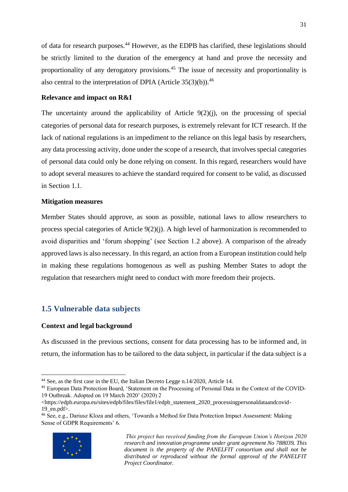of data for research purposes.<sup>44</sup> However, as the EDPB has clarified, these legislations should be strictly limited to the duration of the emergency at hand and prove the necessity and proportionality of any derogatory provisions.<sup>45</sup> The issue of necessity and proportionality is also central to the interpretation of DPIA (Article  $35(3)(b)$ ).<sup>46</sup>

#### **Relevance and impact on R&I**

The uncertainty around the applicability of Article  $9(2)(i)$ , on the processing of special categories of personal data for research purposes, is extremely relevant for ICT research. If the lack of national regulations is an impediment to the reliance on this legal basis by researchers, any data processing activity, done under the scope of a research, that involves special categories of personal data could only be done relying on consent. In this regard, researchers would have to adopt several measures to achieve the standard required for consent to be valid, as discussed in Section 1.1.

#### **Mitigation measures**

Member States should approve, as soon as possible, national laws to allow researchers to process special categories of Article 9(2)(j). A high level of harmonization is recommended to avoid disparities and 'forum shopping' (see Section 1.2 above). A comparison of the already approved laws is also necessary. In this regard, an action from a European institution could help in making these regulations homogenous as well as pushing Member States to adopt the regulation that researchers might need to conduct with more freedom their projects.

## <span id="page-31-0"></span>**1.5 Vulnerable data subjects**

#### **Context and legal background**

As discussed in the previous sections, consent for data processing has to be informed and, in return, the information has to be tailored to the data subject, in particular if the data subject is a

<sup>46</sup> See, e.g., Dariusz Kloza and others, 'Towards a Method for Data Protection Impact Assessment: Making Sense of GDPR Requirements' 6.



<sup>44</sup> See, as the first case in the EU, the Italian Decreto Legge n.14/2020, Article 14.

<sup>45</sup> European Data Protection Board, 'Statement on the Processing of Personal Data in the Context of the COVID-19 Outbreak. Adopted on 19 March 2020' (2020) 2

<sup>&</sup>lt;https://edpb.europa.eu/sites/edpb/files/files/file1/edpb\_statement\_2020\_processingpersonaldataandcovid-19 en.pdf $>$ .

*This project has received funding from the European Union's Horizon 2020 research and innovation programme under grant agreement No 788039. This document is the property of the PANELFIT consortium and shall not be distributed or reproduced without the formal approval of the PANELFIT Project Coordinator.*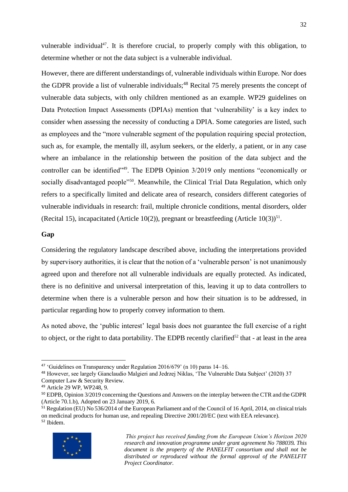vulnerable individual<sup>47</sup>. It is therefore crucial, to properly comply with this obligation, to determine whether or not the data subject is a vulnerable individual.

However, there are different understandings of, vulnerable individuals within Europe. Nor does the GDPR provide a list of vulnerable individuals;<sup>48</sup> Recital 75 merely presents the concept of vulnerable data subjects, with only children mentioned as an example. WP29 guidelines on Data Protection Impact Assessments (DPIAs) mention that 'vulnerability' is a key index to consider when assessing the necessity of conducting a DPIA. Some categories are listed, such as employees and the "more vulnerable segment of the population requiring special protection, such as, for example, the mentally ill, asylum seekers, or the elderly, a patient, or in any case where an imbalance in the relationship between the position of the data subject and the controller can be identified<sup>"49</sup>. The EDPB Opinion 3/2019 only mentions "economically or socially disadvantaged people<sup>"50</sup>. Meanwhile, the Clinical Trial Data Regulation, which only refers to a specifically limited and delicate area of research, considers different categories of vulnerable individuals in research: frail, multiple chronicle conditions, mental disorders, older (Recital 15), incapacitated (Article 10(2)), pregnant or breastfeeding (Article 10(3))<sup>51</sup>.

#### **Gap**

Considering the regulatory landscape described above, including the interpretations provided by supervisory authorities, it is clear that the notion of a 'vulnerable person' is not unanimously agreed upon and therefore not all vulnerable individuals are equally protected. As indicated, there is no definitive and universal interpretation of this, leaving it up to data controllers to determine when there is a vulnerable person and how their situation is to be addressed, in particular regarding how to properly convey information to them.

As noted above, the 'public interest' legal basis does not guarantee the full exercise of a right to object, or the right to data portability. The EDPB recently clarified<sup>52</sup> that - at least in the area

 $51$  Regulation (EU) No 536/2014 of the European Parliament and of the Council of 16 April, 2014, on clinical trials on medicinal products for human use, and repealing Directive 2001/20/EC (text with EEA relevance). <sup>52</sup> Ibidem.



<sup>&</sup>lt;sup>47</sup> 'Guidelines on Transparency under Regulation 2016/679' (n 10) paras 14–16.

<sup>48</sup> However, see largely Gianclaudio Malgieri and Jedrzej Niklas, 'The Vulnerable Data Subject' (2020) 37 Computer Law & Security Review.

<sup>49</sup> Article 29 WP, WP248, 9.

<sup>50</sup> EDPB, Opinion 3/2019 concerning the Questions and Answers on the interplay between the CTR and the GDPR (Article 70.1.b), Adopted on 23 January 2019, 6.

*This project has received funding from the European Union's Horizon 2020 research and innovation programme under grant agreement No 788039. This document is the property of the PANELFIT consortium and shall not be distributed or reproduced without the formal approval of the PANELFIT Project Coordinator.*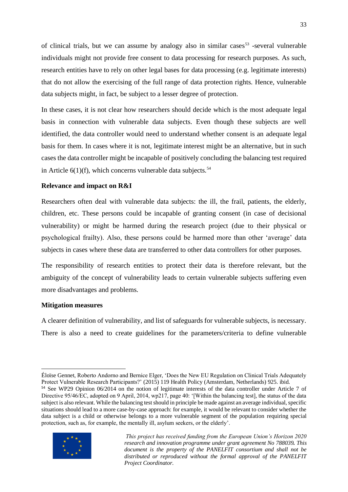of clinical trials, but we can assume by analogy also in similar cases<sup>53</sup> -several vulnerable individuals might not provide free consent to data processing for research purposes. As such, research entities have to rely on other legal bases for data processing (e.g. legitimate interests) that do not allow the exercising of the full range of data protection rights. Hence, vulnerable data subjects might, in fact, be subject to a lesser degree of protection.

In these cases, it is not clear how researchers should decide which is the most adequate legal basis in connection with vulnerable data subjects. Even though these subjects are well identified, the data controller would need to understand whether consent is an adequate legal basis for them. In cases where it is not, legitimate interest might be an alternative, but in such cases the data controller might be incapable of positively concluding the balancing test required in Article  $6(1)(f)$ , which concerns vulnerable data subjects.<sup>54</sup>

#### **Relevance and impact on R&I**

Researchers often deal with vulnerable data subjects: the ill, the frail, patients, the elderly, children, etc. These persons could be incapable of granting consent (in case of decisional vulnerability) or might be harmed during the research project (due to their physical or psychological frailty). Also, these persons could be harmed more than other 'average' data subjects in cases where these data are transferred to other data controllers for other purposes.

The responsibility of research entities to protect their data is therefore relevant, but the ambiguity of the concept of vulnerability leads to certain vulnerable subjects suffering even more disadvantages and problems.

#### **Mitigation measures**

A clearer definition of vulnerability, and list of safeguards for vulnerable subjects, is necessary. There is also a need to create guidelines for the parameters/criteria to define vulnerable

<sup>54</sup> See WP29 Opinion 06/2014 on the notion of legitimate interests of the data controller under Article 7 of Directive 95/46/EC, adopted on 9 April, 2014, wp217, page 40: '[Within the balancing test], the status of the data subject is also relevant. While the balancing test should in principle be made against an average individual, specific situations should lead to a more case-by-case approach: for example, it would be relevant to consider whether the data subject is a child or otherwise belongs to a more vulnerable segment of the population requiring special protection, such as, for example, the mentally ill, asylum seekers, or the elderly'.



Éloïse Gennet, Roberto Andorno and Bernice Elger, 'Does the New EU Regulation on Clinical Trials Adequately Protect Vulnerable Research Participants?' (2015) 119 Health Policy (Amsterdam, Netherlands) 925. ibid.

*This project has received funding from the European Union's Horizon 2020 research and innovation programme under grant agreement No 788039. This document is the property of the PANELFIT consortium and shall not be distributed or reproduced without the formal approval of the PANELFIT Project Coordinator.*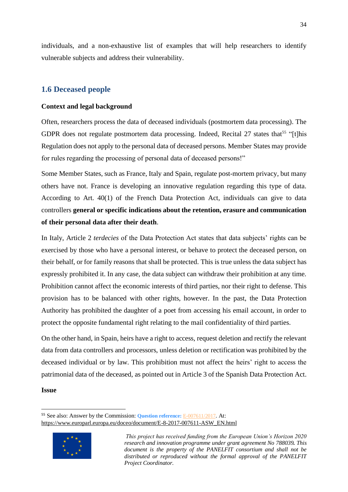individuals, and a non-exhaustive list of examples that will help researchers to identify vulnerable subjects and address their vulnerability.

## <span id="page-34-0"></span>**1.6 Deceased people**

#### **Context and legal background**

Often, researchers process the data of deceased individuals (postmortem data processing). The GDPR does not regulate postmortem data processing. Indeed, Recital 27 states that<sup>55</sup> "[t]his Regulation does not apply to the personal data of deceased persons. Member States may provide for rules regarding the processing of personal data of deceased persons!"

Some Member States, such as France, Italy and Spain, regulate post-mortem privacy, but many others have not. France is developing an innovative regulation regarding this type of data. According to Art. 40(1) of the [French Data Protection Act,](https://www.cnil.fr/fr/loi-78-17-du-6-janvier-1978-modifiee#Article40-1) individuals can give to data controllers **general or specific indications about the retention, erasure and communication of their personal data after their death**.

In Italy, Article 2 *terdecies* of the Data Protection Act states that data subjects' rights can be exercised by those who have a personal interest, or behave to protect the deceased person, on their behalf, or for family reasons that shall be protected. This is true unless the data subject has expressly prohibited it. In any case, the data subject can withdraw their prohibition at any time. Prohibition cannot affect the economic interests of third parties, nor their right to defense. This provision has to be balanced with other rights, however. In the past, the Data Protection Authority has prohibited the daughter of a poet from accessing his email account, in order to protect the opposite fundamental right relating to the mail confidentiality of third parties.

On the other hand, in Spain, heirs have a right to access, request deletion and rectify the relevant data from data controllers and processors, unless deletion or rectification was prohibited by the deceased individual or by law. This prohibition must not affect the heirs' right to access the patrimonial data of the deceased, as pointed out in Article 3 of the Spanish Data Protection Act.

#### **Issue**

<sup>55</sup> See also: Answer by the Commission: **Question reference:** [E-007611/2017](https://www.europarl.europa.eu/doceo/document/E-8-2017-007611_EN.html). At: [https://www.europarl.europa.eu/doceo/document/E-8-2017-007611-ASW\\_EN.html](https://www.europarl.europa.eu/doceo/document/E-8-2017-007611-ASW_EN.html)



*This project has received funding from the European Union's Horizon 2020 research and innovation programme under grant agreement No 788039. This document is the property of the PANELFIT consortium and shall not be distributed or reproduced without the formal approval of the PANELFIT Project Coordinator.*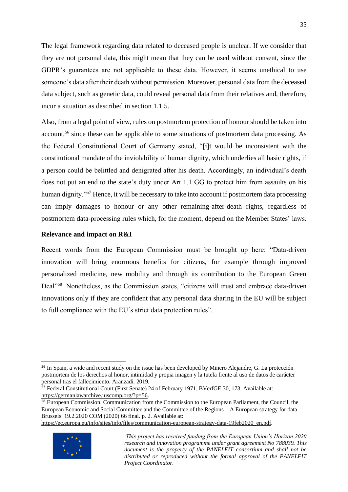The legal framework regarding data related to deceased people is unclear. If we consider that they are not personal data, this might mean that they can be used without consent, since the GDPR's guarantees are not applicable to these data. However, it seems unethical to use someone's data after their death without permission. Moreover, personal data from the deceased data subject, such as genetic data, could reveal personal data from their relatives and, therefore, incur a situation as described in section 1.1.5.

Also, from a legal point of view, rules on postmortem protection of honour should be taken into account,<sup>56</sup> since these can be applicable to some situations of postmortem data processing. As the Federal Constitutional Court of Germany stated, "[i]t would be inconsistent with the constitutional mandate of the inviolability of human dignity, which underlies all basic rights, if a person could be belittled and denigrated after his death. Accordingly, an individual's death does not put an end to the state's duty under Art 1.1 GG to protect him from assaults on his human dignity."<sup>57</sup> Hence, it will be necessary to take into account if postmortem data processing can imply damages to honour or any other remaining-after-death rights, regardless of postmortem data-processing rules which, for the moment, depend on the Member States' laws.

#### **Relevance and impact on R&I**

Recent words from the European Commission must be brought up here: "Data-driven innovation will bring enormous benefits for citizens, for example through improved personalized medicine, new mobility and through its contribution to the European Green Deal"<sup>58</sup>. Nonetheless, as the Commission states, "citizens will trust and embrace data-driven innovations only if they are confident that any personal data sharing in the EU will be subject to full compliance with the EU´s strict data protection rules".

[https://ec.europa.eu/info/sites/info/files/communication-european-strategy-data-19feb2020\\_en.pdf.](https://ec.europa.eu/info/sites/info/files/communication-european-strategy-data-19feb2020_en.pdf)



<sup>56</sup> In Spain, a wide and recent study on the issue has been developed by Minero Alejandre, G. La protección postmortem de los derechos al honor, intimidad y propia imagen y la tutela frente al uso de datos de carácter personal tras el fallecimiento. Aranzadi. 2019.

<sup>&</sup>lt;sup>57</sup> Federal Constitutional Court (First Senate) 24 of February 1971. BVerfGE 30, 173. Available at: [https://germanlawarchive.iuscomp.org/?p=56.](https://germanlawarchive.iuscomp.org/?p=56)

<sup>&</sup>lt;sup>58</sup> European Commission. Communication from the Commission to the European Parliament, the Council, the European Economic and Social Committee and the Committee of the Regions – A European strategy for data. Brussels. 19.2.2020 COM (2020) 66 final. p. 2. Available at:

*This project has received funding from the European Union's Horizon 2020 research and innovation programme under grant agreement No 788039. This document is the property of the PANELFIT consortium and shall not be distributed or reproduced without the formal approval of the PANELFIT Project Coordinator.*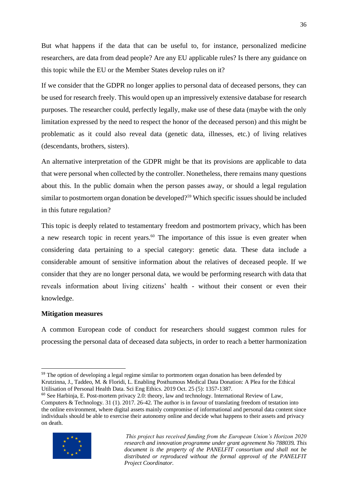But what happens if the data that can be useful to, for instance, personalized medicine researchers, are data from dead people? Are any EU applicable rules? Is there any guidance on this topic while the EU or the Member States develop rules on it?

If we consider that the GDPR no longer applies to personal data of deceased persons, they can be used for research freely. This would open up an impressively extensive database for research purposes. The researcher could, perfectly legally, make use of these data (maybe with the only limitation expressed by the need to respect the honor of the deceased person) and this might be problematic as it could also reveal data (genetic data, illnesses, etc.) of living relatives (descendants, brothers, sisters).

An alternative interpretation of the GDPR might be that its provisions are applicable to data that were personal when collected by the controller. Nonetheless, there remains many questions about this. In the public domain when the person passes away, or should a legal regulation similar to postmortem organ donation be developed?<sup>59</sup> Which specific issues should be included in this future regulation?

This topic is deeply related to testamentary freedom and postmortem privacy, which has been a new research topic in recent years.<sup>60</sup> The importance of this issue is even greater when considering data pertaining to a special category: genetic data. These data include a considerable amount of sensitive information about the relatives of deceased people. If we consider that they are no longer personal data, we would be performing research with data that reveals information about living citizens' health - without their consent or even their knowledge.

#### **Mitigation measures**

A common European code of conduct for researchers should suggest common rules for processing the personal data of deceased data subjects, in order to reach a better harmonization

<sup>60</sup> See Harbinja, E. Post-mortem privacy 2.0: theory, law and technology. International Review of Law, Computers & Technology. 31 (1). 2017. 26-42. The author is in favour of translating freedom of testation into the online environment, where digital assets mainly compromise of informational and personal data content since individuals should be able to exercise their autonomy online and decide what happens to their assets and privacy on death.



<sup>&</sup>lt;sup>59</sup> The option of developing a legal regime similar to portmortem organ donation has been defended by Krutzinna, J., Taddeo, M. & Floridi, L. Enabling Posthumous Medical Data Donation: A Plea for the Ethical Utilisation of Personal Health Data. Sci Eng Ethics. 2019 Oct. 25 (5): 1357-1387.

*This project has received funding from the European Union's Horizon 2020 research and innovation programme under grant agreement No 788039. This document is the property of the PANELFIT consortium and shall not be distributed or reproduced without the formal approval of the PANELFIT Project Coordinator.*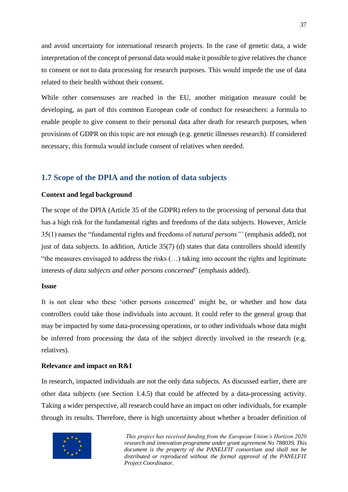and avoid uncertainty for international research projects. In the case of genetic data, a wide interpretation of the concept of personal data would make it possible to give relatives the chance to consent or not to data processing for research purposes. This would impede the use of data related to their health without their consent.

While other consensuses are reached in the EU, another mitigation measure could be developing, as part of this common European code of conduct for researchers: a formula to enable people to give consent to their personal data after death for research purposes, when provisions of GDPR on this topic are not enough (e.g. genetic illnesses research). If considered necessary, this formula would include consent of relatives when needed.

#### <span id="page-37-0"></span>**1.7 Scope of the DPIA and the notion of data subjects**

#### **Context and legal background**

The scope of the DPIA (Article 35 of the GDPR) refers to the processing of personal data that has a high risk for the fundamental rights and freedoms of the data subjects. However, Article 35(1) names the "fundamental rights and freedoms of *natural persons"'* (emphasis added), not just of data subjects. In addition, Article 35(7) (d) states that data controllers should identify "the measures envisaged to address the risks (…) taking into account the rights and legitimate interests *of data subjects and other persons concerned*" (emphasis added).

#### **Issue**

It is not clear who these 'other persons concerned' might be, or whether and how data controllers could take those individuals into account. It could refer to the general group that may be impacted by some data-processing operations, or to other individuals whose data might be inferred from processing the data of the subject directly involved in the research (e.g. relatives).

#### **Relevance and impact on R&I**

In research, impacted individuals are not the only data subjects. As discussed earlier, there are other data subjects (see Section 1.4.5) that could be affected by a data-processing activity. Taking a wider perspective, all research could have an impact on other individuals, for example through its results. Therefore, there is high uncertainty about whether a broader definition of

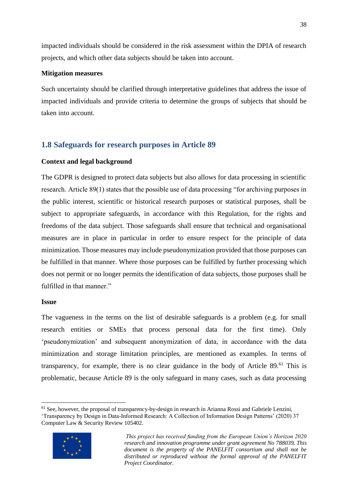impacted individuals should be considered in the risk assessment within the DPIA of research projects, and which other data subjects should be taken into account.

#### **Mitigation measures**

Such uncertainty should be clarified through interpretative guidelines that address the issue of impacted individuals and provide criteria to determine the groups of subjects that should be taken into account.

## <span id="page-38-0"></span>**1.8 Safeguards for research purposes in Article 89**

#### **Context and legal background**

The GDPR is designed to protect data subjects but also allows for data processing in scientific research. Article 89(1) states that the possible use of data processing "for archiving purposes in the public interest, scientific or historical research purposes or statistical purposes, shall be subject to appropriate safeguards, in accordance with this Regulation, for the rights and freedoms of the data subject. Those safeguards shall ensure that technical and organisational measures are in place in particular in order to ensure respect for the principle of data minimization. Those measures may include pseudonymization provided that those purposes can be fulfilled in that manner. Where those purposes can be fulfilled by further processing which does not permit or no longer permits the identification of data subjects, those purposes shall be fulfilled in that manner."

#### **Issue**

The vagueness in the terms on the list of desirable safeguards is a problem (e.g. for small research entities or SMEs that process personal data for the first time). Only 'pseudonymization' and subsequent anonymization of data, in accordance with the data minimization and storage limitation principles, are mentioned as examples. In terms of transparency, for example, there is no clear guidance in the body of Article 89.<sup>61</sup> This is problematic, because Article 89 is the only safeguard in many cases, such as data processing

<sup>&</sup>lt;sup>61</sup> See, however, the proposal of transparency-by-design in research in Arianna Rossi and Gabriele Lenzini, 'Transparency by Design in Data-Informed Research: A Collection of Information Design Patterns' (2020) 37 Computer Law & Security Review 105402.



*This project has received funding from the European Union's Horizon 2020 research and innovation programme under grant agreement No 788039. This document is the property of the PANELFIT consortium and shall not be distributed or reproduced without the formal approval of the PANELFIT Project Coordinator.*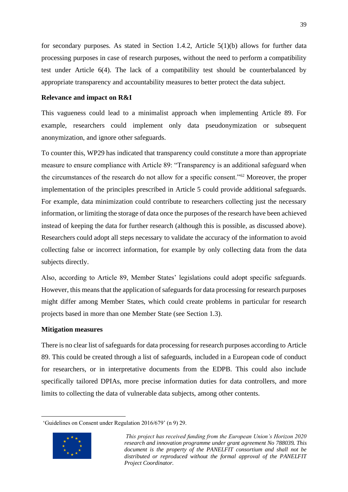for secondary purposes. As stated in Section 1.4.2, Article 5(1)(b) allows for further data processing purposes in case of research purposes, without the need to perform a compatibility test under Article 6(4). The lack of a compatibility test should be counterbalanced by appropriate transparency and accountability measures to better protect the data subject.

#### **Relevance and impact on R&I**

This vagueness could lead to a minimalist approach when implementing Article 89. For example, researchers could implement only data pseudonymization or subsequent anonymization, and ignore other safeguards.

To counter this, WP29 has indicated that transparency could constitute a more than appropriate measure to ensure compliance with Article 89: "Transparency is an additional safeguard when the circumstances of the research do not allow for a specific consent."<sup>62</sup> Moreover, the proper implementation of the principles prescribed in Article 5 could provide additional safeguards. For example, data minimization could contribute to researchers collecting just the necessary information, or limiting the storage of data once the purposes of the research have been achieved instead of keeping the data for further research (although this is possible, as discussed above). Researchers could adopt all steps necessary to validate the accuracy of the information to avoid collecting false or incorrect information, for example by only collecting data from the data subjects directly.

Also, according to Article 89, Member States' legislations could adopt specific safeguards. However, this means that the application of safeguards for data processing for research purposes might differ among Member States, which could create problems in particular for research projects based in more than one Member State (see Section 1.3).

#### **Mitigation measures**

There is no clear list of safeguards for data processing for research purposes according to Article 89. This could be created through a list of safeguards, included in a European code of conduct for researchers, or in interpretative documents from the EDPB. This could also include specifically tailored DPIAs, more precise information duties for data controllers, and more limits to collecting the data of vulnerable data subjects, among other contents.

<sup>&#</sup>x27;Guidelines on Consent under Regulation 2016/679' (n 9) 29.



*This project has received funding from the European Union's Horizon 2020 research and innovation programme under grant agreement No 788039. This document is the property of the PANELFIT consortium and shall not be distributed or reproduced without the formal approval of the PANELFIT Project Coordinator.*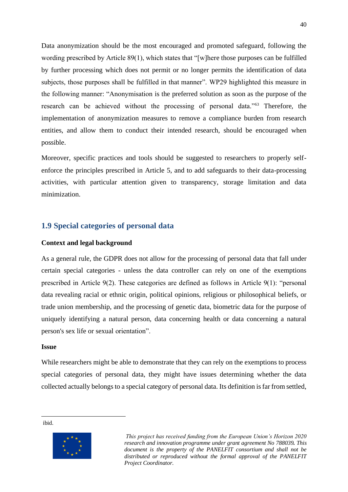Data anonymization should be the most encouraged and promoted safeguard, following the wording prescribed by Article 89(1), which states that "[w]here those purposes can be fulfilled by further processing which does not permit or no longer permits the identification of data subjects, those purposes shall be fulfilled in that manner". WP29 highlighted this measure in the following manner: "Anonymisation is the preferred solution as soon as the purpose of the research can be achieved without the processing of personal data."<sup>63</sup> Therefore, the implementation of anonymization measures to remove a compliance burden from research entities, and allow them to conduct their intended research, should be encouraged when possible.

Moreover, specific practices and tools should be suggested to researchers to properly selfenforce the principles prescribed in Article 5, and to add safeguards to their data-processing activities, with particular attention given to transparency, storage limitation and data minimization.

#### <span id="page-40-0"></span>**1.9 Special categories of personal data**

#### **Context and legal background**

As a general rule, the GDPR does not allow for the processing of personal data that fall under certain special categories - unless the data controller can rely on one of the exemptions prescribed in Article 9(2). These categories are defined as follows in Article 9(1): "personal data revealing racial or ethnic origin, political opinions, religious or philosophical beliefs, or trade union membership, and the processing of genetic data, biometric data for the purpose of uniquely identifying a natural person, data concerning health or data concerning a natural person's sex life or sexual orientation".

#### **Issue**

While researchers might be able to demonstrate that they can rely on the exemptions to process special categories of personal data, they might have issues determining whether the data collected actually belongs to a special category of personal data. Its definition is far from settled,

ibid.



*This project has received funding from the European Union's Horizon 2020 research and innovation programme under grant agreement No 788039. This document is the property of the PANELFIT consortium and shall not be distributed or reproduced without the formal approval of the PANELFIT Project Coordinator.*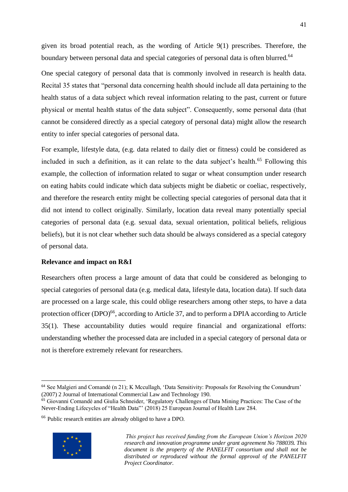given its broad potential reach, as the wording of Article 9(1) prescribes. Therefore, the boundary between personal data and special categories of personal data is often blurred.<sup>64</sup>

One special category of personal data that is commonly involved in research is health data. Recital 35 states that "personal data concerning health should include all data pertaining to the health status of a data subject which reveal information relating to the past, current or future physical or mental health status of the data subject". Consequently, some personal data (that cannot be considered directly as a special category of personal data) might allow the research entity to infer special categories of personal data.

For example, lifestyle data, (e.g. data related to daily diet or fitness) could be considered as included in such a definition, as it can relate to the data subject's health.<sup>65</sup> Following this example, the collection of information related to sugar or wheat consumption under research on eating habits could indicate which data subjects might be diabetic or coeliac, respectively, and therefore the research entity might be collecting special categories of personal data that it did not intend to collect originally. Similarly, location data reveal many potentially special categories of personal data (e.g. sexual data, sexual orientation, political beliefs, religious beliefs), but it is not clear whether such data should be always considered as a special category of personal data.

#### **Relevance and impact on R&I**

Researchers often process a large amount of data that could be considered as belonging to special categories of personal data (e.g. medical data, lifestyle data, location data). If such data are processed on a large scale, this could oblige researchers among other steps, to have a data protection officer  $(DPO)^{66}$ , according to Article 37, and to perform a DPIA according to Article 35(1). These accountability duties would require financial and organizational efforts: understanding whether the processed data are included in a special category of personal data or not is therefore extremely relevant for researchers.

<sup>66</sup> Public research entities are already obliged to have a DPO.



<sup>64</sup> See Malgieri and Comandé (n 21); K Mccullagh, 'Data Sensitivity: Proposals for Resolving the Conundrum' (2007) 2 Journal of International Commercial Law and Technology 190.

<sup>&</sup>lt;sup>65</sup> Giovanni Comandè and Giulia Schneider, 'Regulatory Challenges of Data Mining Practices: The Case of the Never-Ending Lifecycles of "Health Data"' (2018) 25 European Journal of Health Law 284.

*This project has received funding from the European Union's Horizon 2020 research and innovation programme under grant agreement No 788039. This document is the property of the PANELFIT consortium and shall not be distributed or reproduced without the formal approval of the PANELFIT Project Coordinator.*